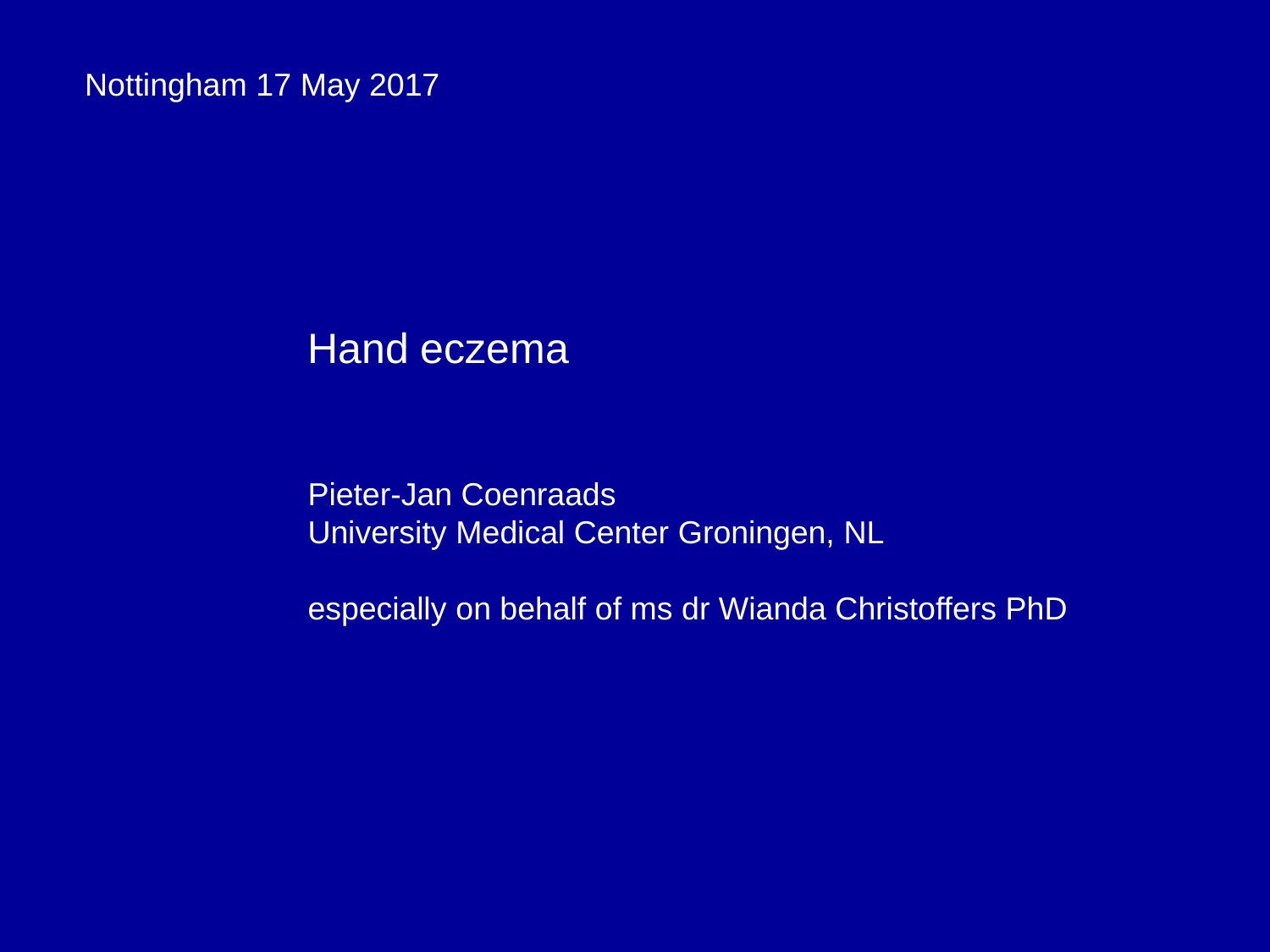Nottingham 17 May 2017

# Hand eczema

Pieter-Jan Coenraads University Medical Center Groningen, NL

especially on behalf of ms dr Wianda Christoffers PhD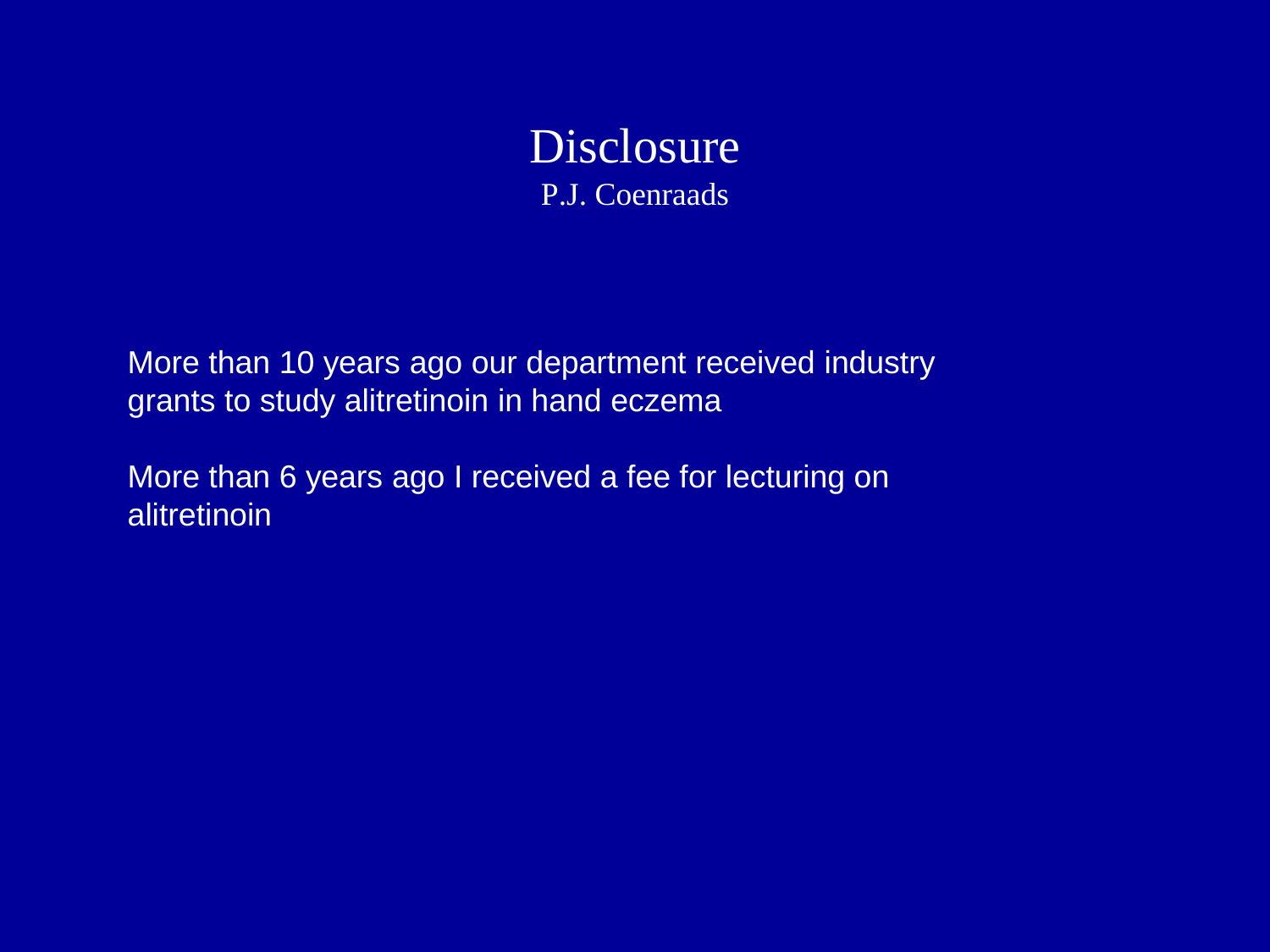

More than 10 years ago our department received industry grants to study alitretinoin in hand eczema

More than 6 years ago I received a fee for lecturing on alitretinoin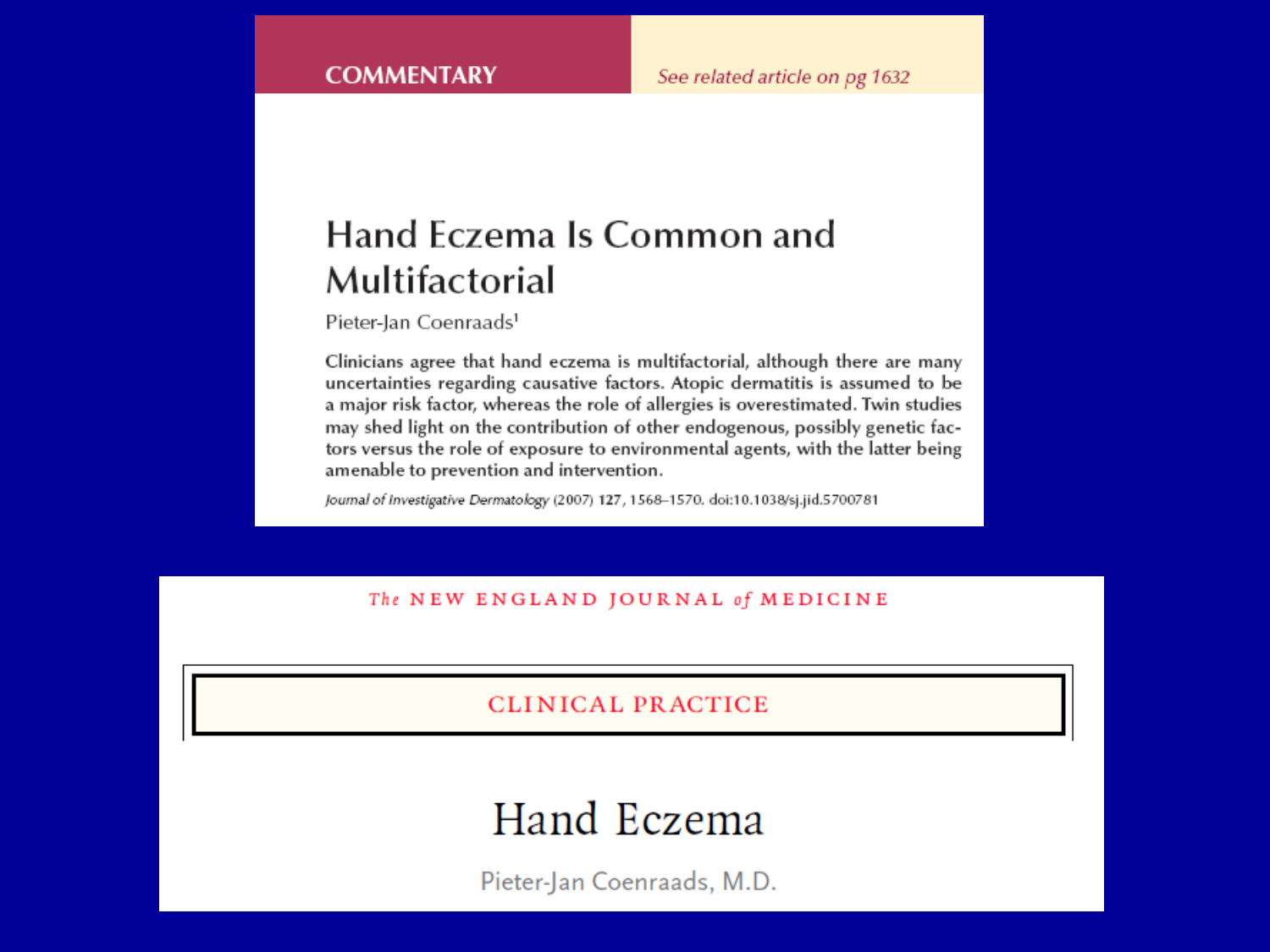# Hand Eczema Is Common and Multifactorial

Pieter-Jan Coenraads<sup>1</sup>

Clinicians agree that hand eczema is multifactorial, although there are many uncertainties regarding causative factors. Atopic dermatitis is assumed to be a major risk factor, whereas the role of allergies is overestimated. Twin studies may shed light on the contribution of other endogenous, possibly genetic factors versus the role of exposure to environmental agents, with the latter being amenable to prevention and intervention.

Journal of Investigative Dermatology (2007) 127, 1568-1570. doi:10.1038/sj.jid.5700781

The NEW ENGLAND JOURNAL of MEDICINE

**CLINICAL PRACTICE** 

# Hand Eczema

Pieter-Jan Coenraads, M.D.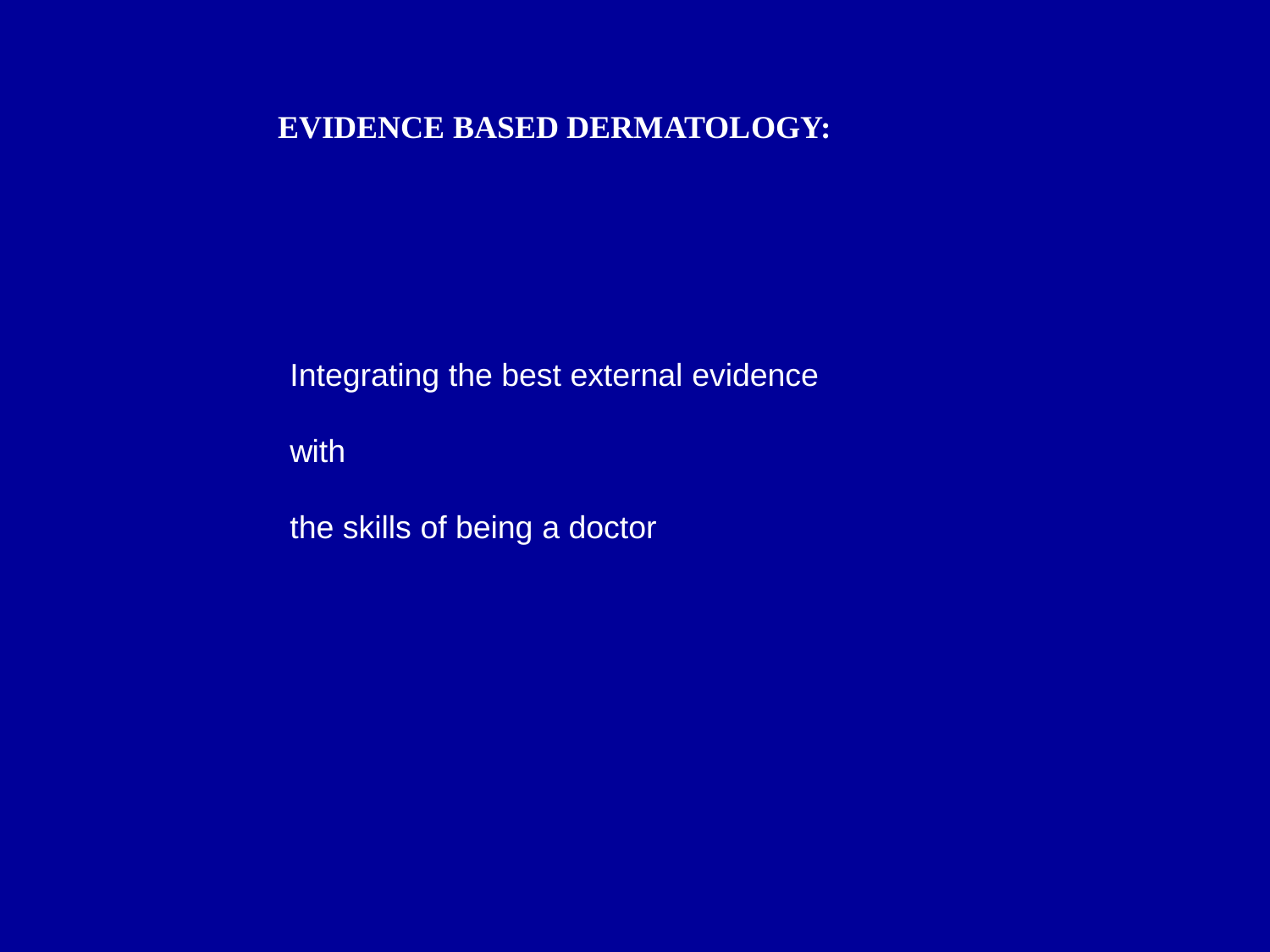#### **EVIDENCE BASED DERMATOLOGY:**

Integrating the best external evidence

with

the skills of being a doctor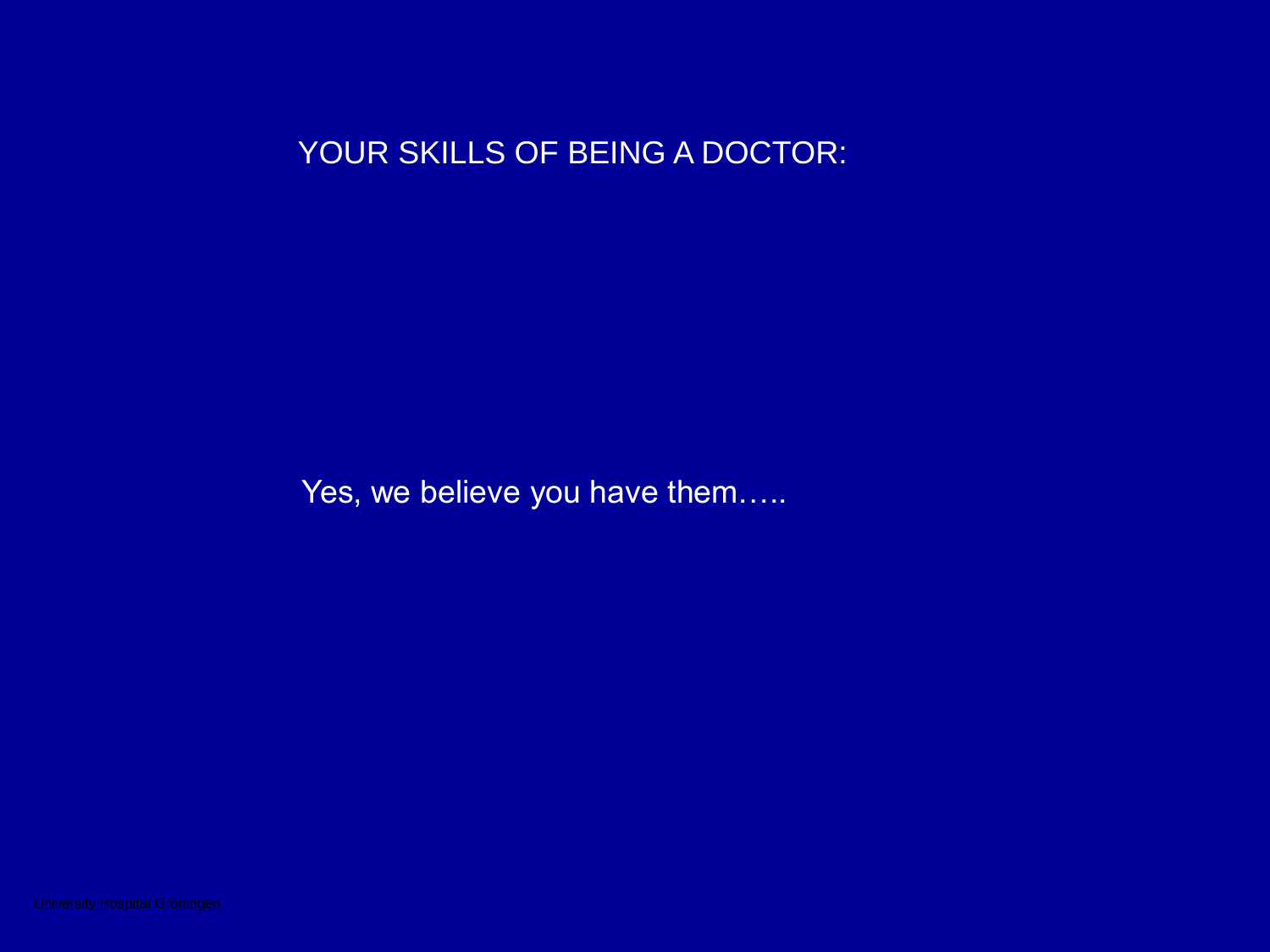## YOUR SKILLS OF BEING A DOCTOR:

Yes, we believe you have them.....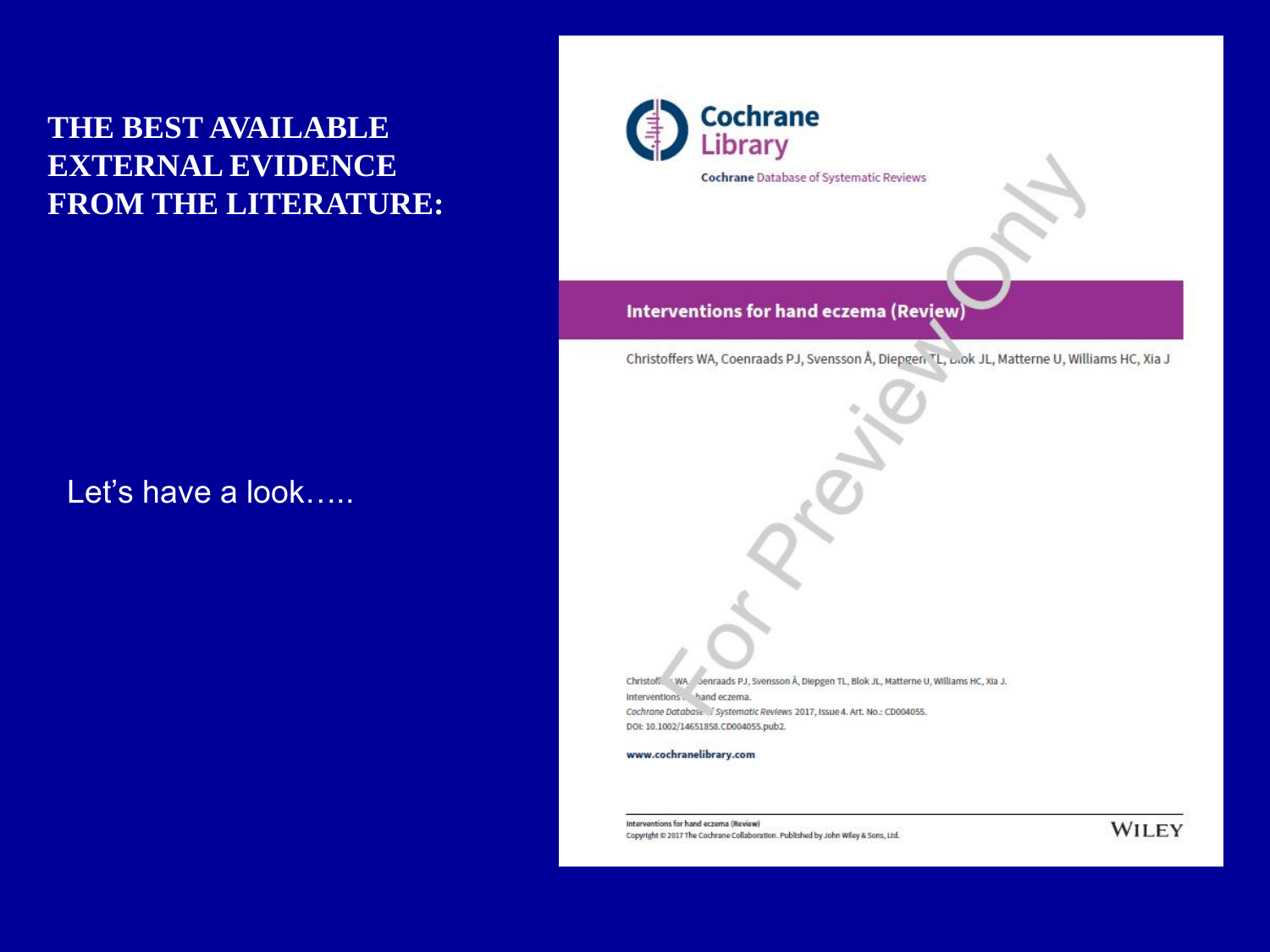### **THE BEST AVAILABLE EXTERNAL EVIDENCE** FROM THE LITERATURE:

#### Let's have a look.....



**Cochrane** Database of Systematic Reviews

#### Interventions for hand eczema (Review)

Christoffers WA, Coenraads PJ, Svensson Å, Diepgen TL, Lok JL, Matterne U, Williams HC, Xia J

Christoff. . WA Jenraads PJ, Svensson Å, Diepgen TL, Blok JL, Matterne U, Williams HC, XIa J. Interventions. hand eczema. Cochrane Database / Systematic Reviews 2017, Issue 4. Art. No.: CD004055. DOI: 10.1002/14651858.CD004055.pub2.

#### www.cochranelibrary.com

Interventions for hand eczema (Review) Copyright @ 2017 The Cochrane Collaboration. Published by John Wiley & Sons, Ltd.

**WILEY**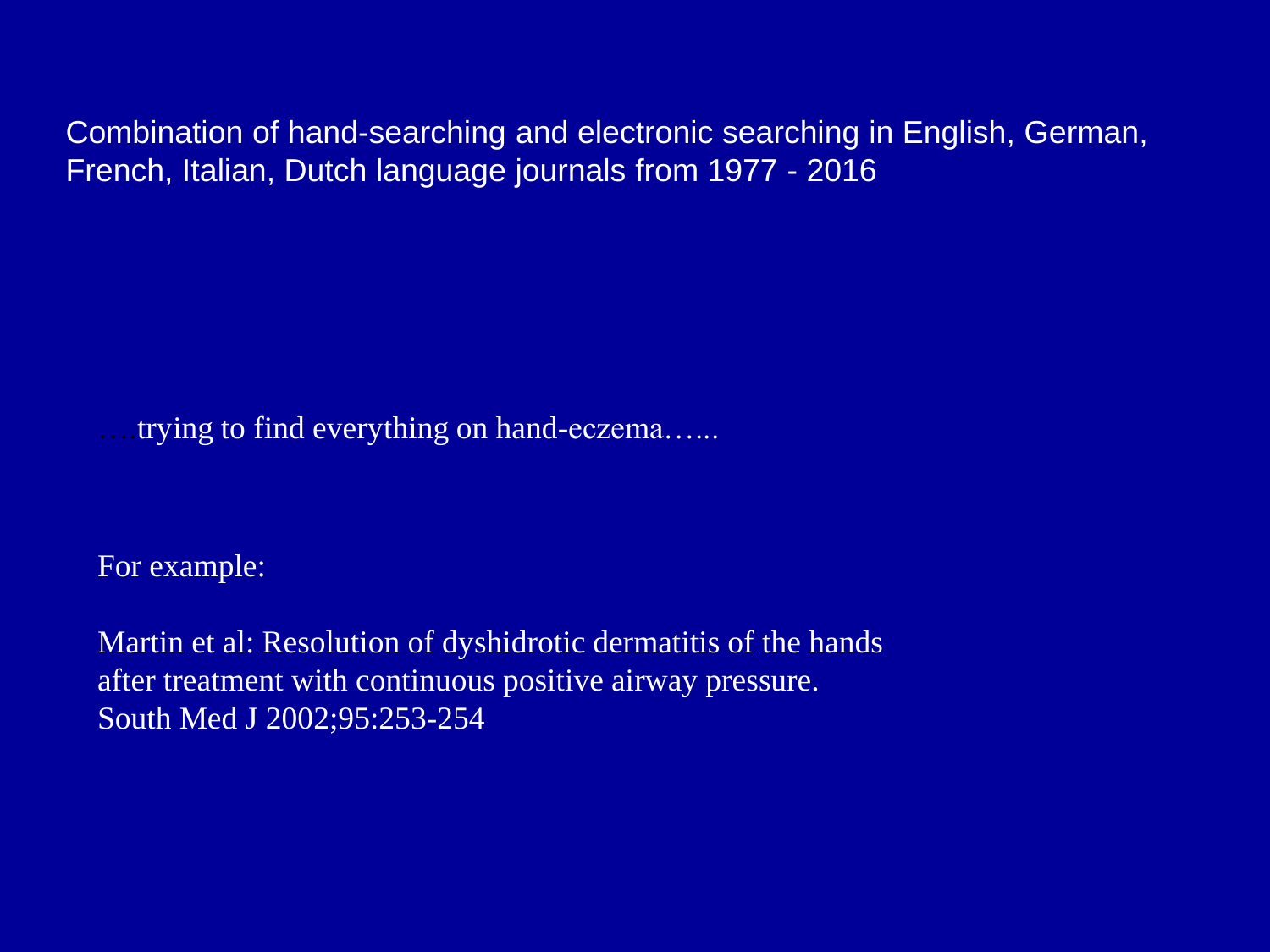Combination of hand-searching and electronic searching in English, German, French, Italian, Dutch language journals from 1977 - 2016

trying to find everything on hand-eczema......

For example:

Martin et al: Resolution of dyshidrotic dermatitis of the hands after treatment with continuous positive airway pressure. South Med J 2002;95:253-254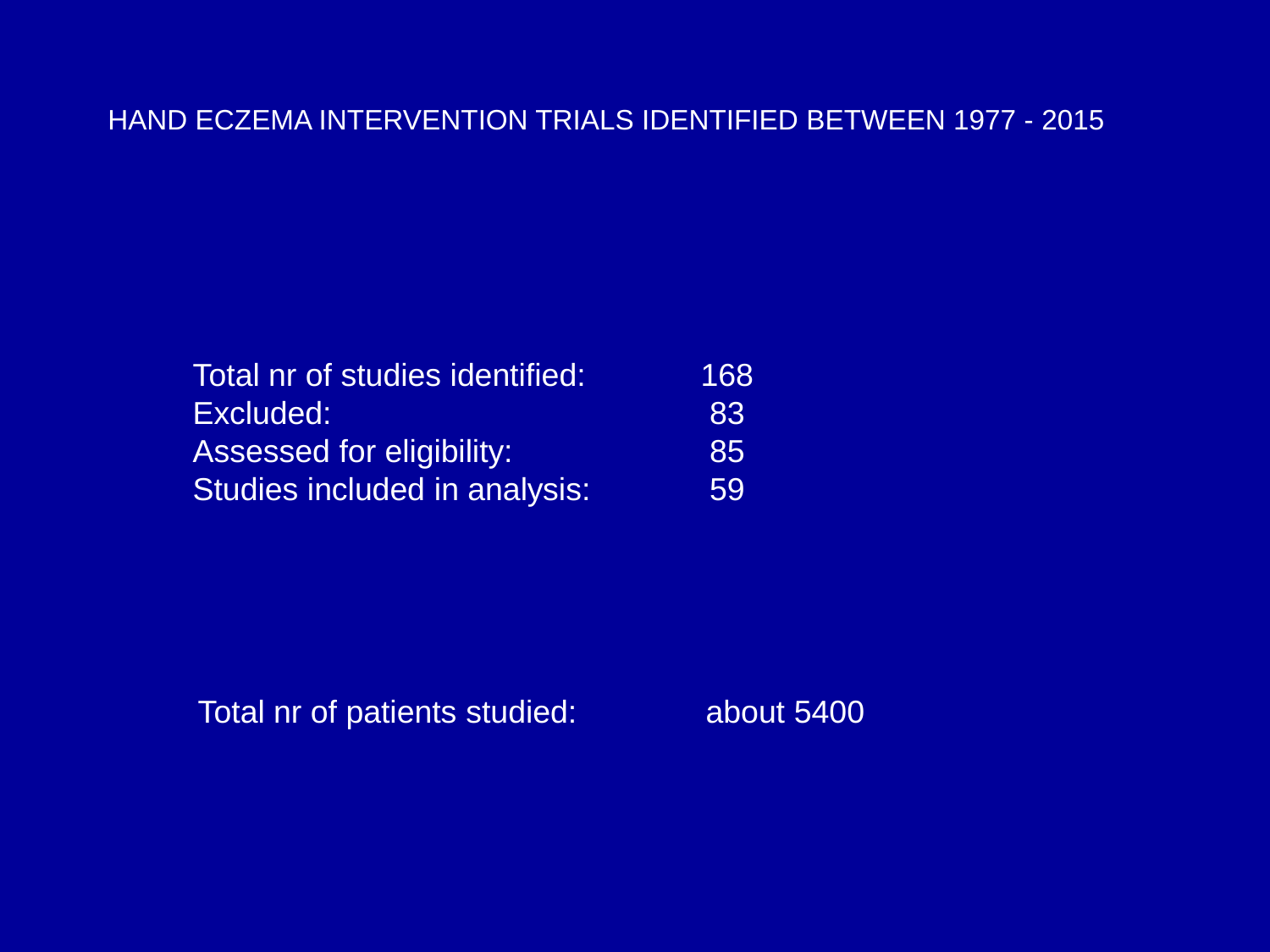#### HAND ECZEMA INTERVENTION TRIALS IDENTIFIED BETWEEN 1977 - 2015

| Total nr of studies identified: | 168 |
|---------------------------------|-----|
| Excluded:                       | 83  |
| Assessed for eligibility:       | 85  |
| Studies included in analysis:   | 59  |

Total nr of patients studied: about 5400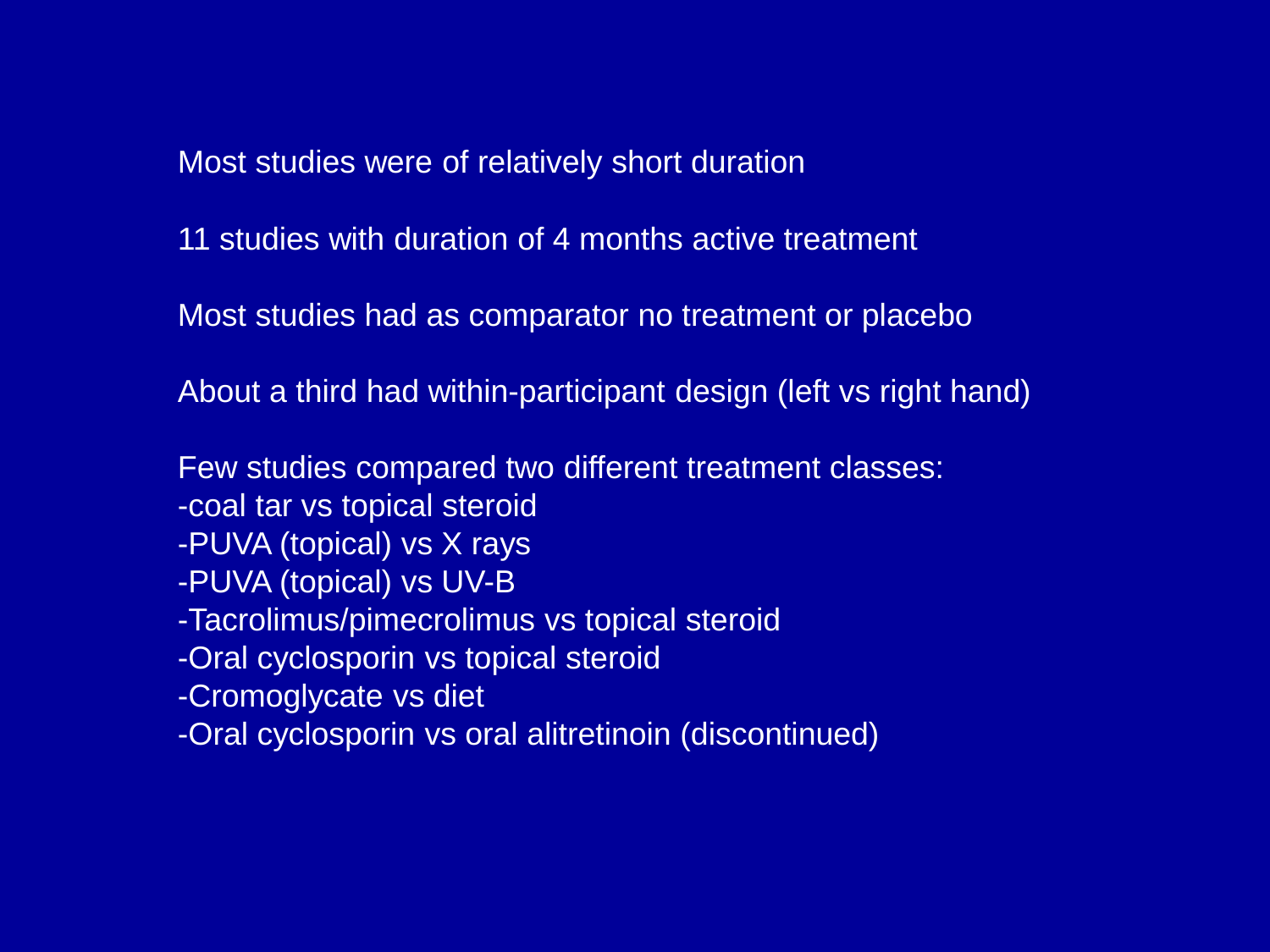Most studies were of relatively short duration

11 studies with duration of 4 months active treatment

Most studies had as comparator no treatment or placebo

About a third had within-participant design (left vs right hand)

Few studies compared two different treatment classes:

- -coal tar vs topical steroid
- -PUVA (topical) vs X rays
- -PUVA (topical) vs UV-B
- -Tacrolimus/pimecrolimus vs topical steroid
- -Oral cyclosporin vs topical steroid
- -Cromoglycate vs diet
- -Oral cyclosporin vs oral alitretinoin (discontinued)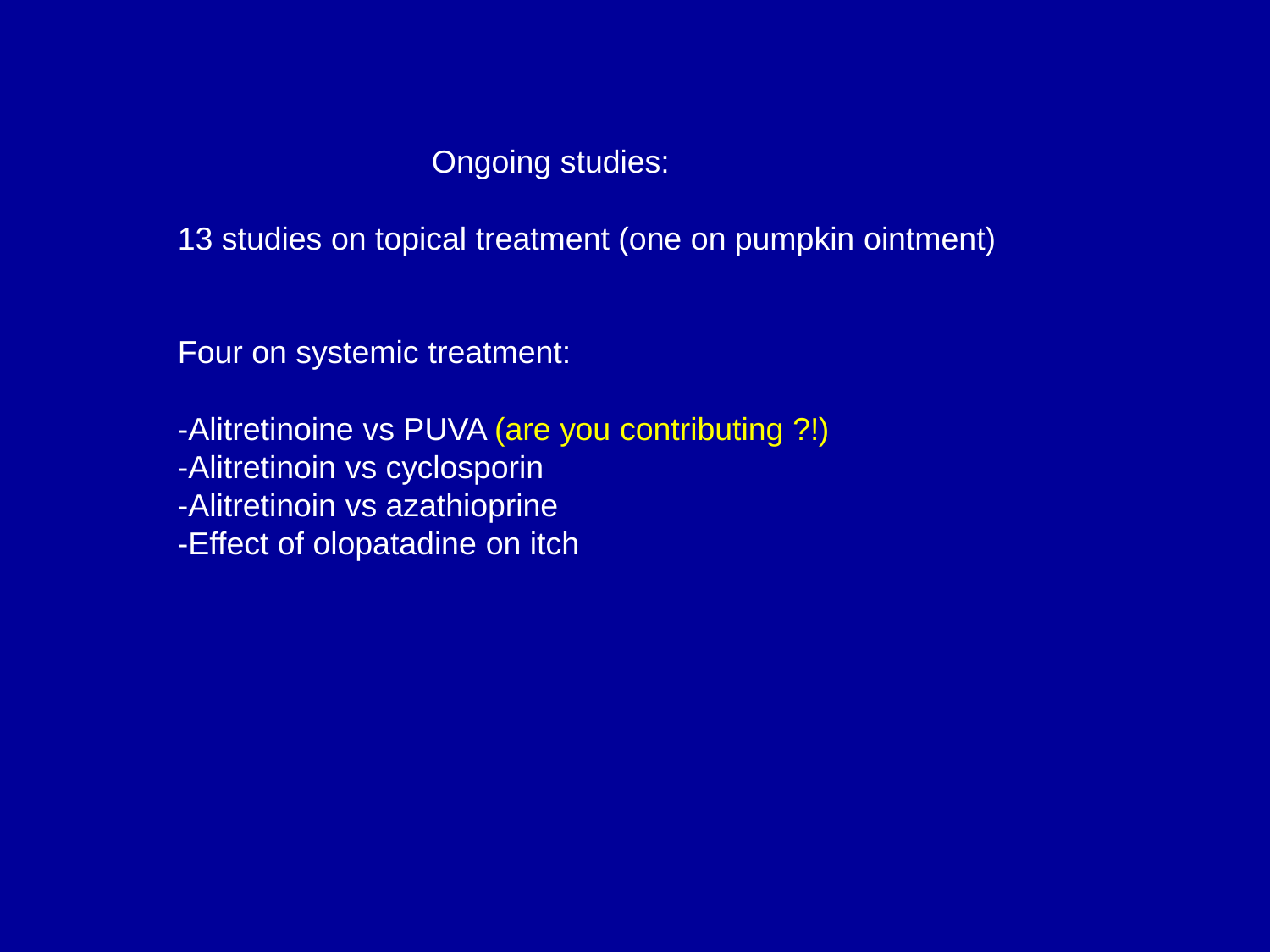Ongoing studies:

13 studies on topical treatment (one on pumpkin ointment)

Four on systemic treatment:

-Alitretinoine vs PUVA (are you contributing ?!) -Alitretinoin vs cyclosporin -Alitretinoin vs azathioprine -Effect of olopatadine on itch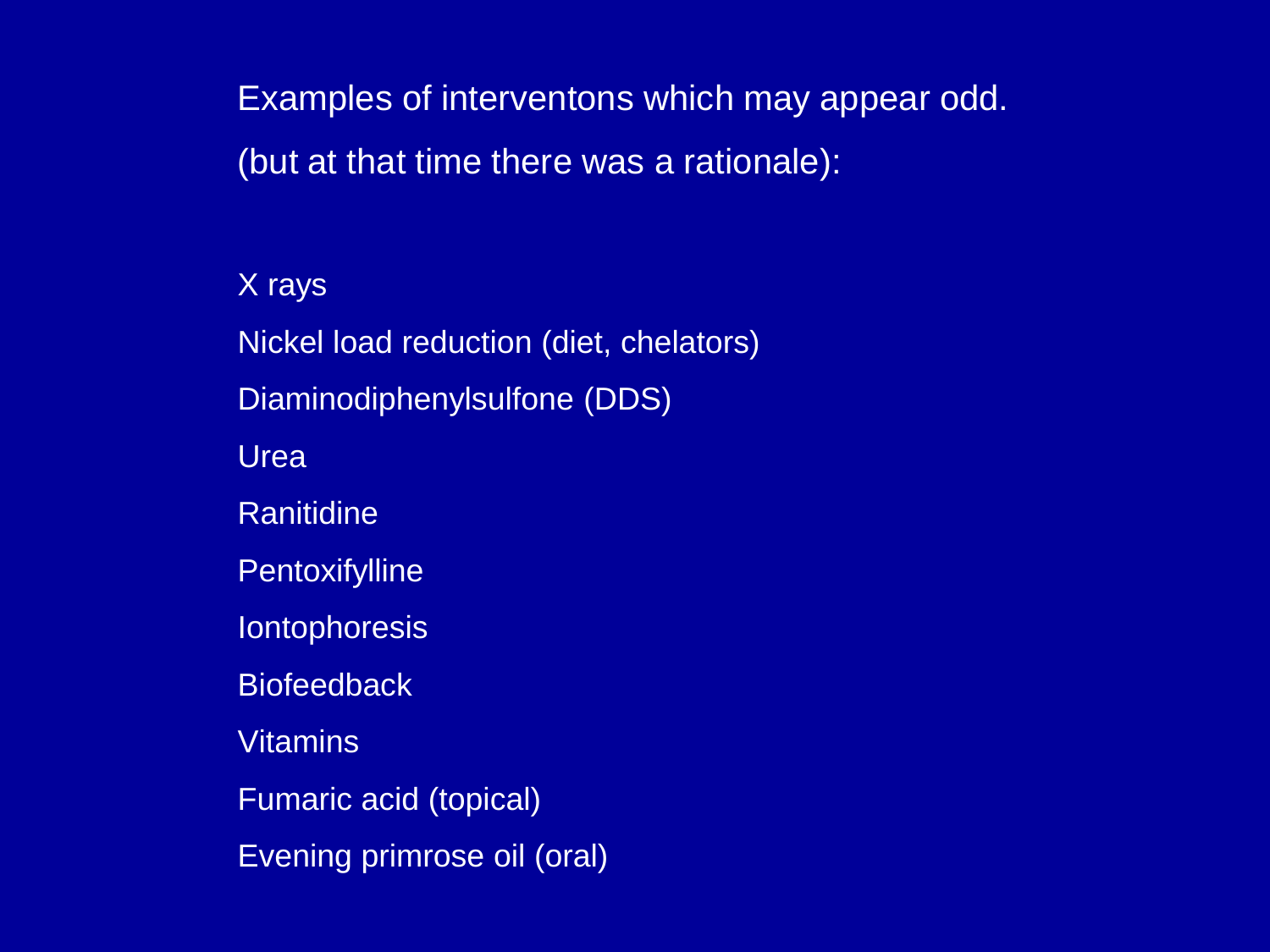Examples of interventons which may appear odd. (but at that time there was a rationale):

X rays Nickel load reduction (diet, chelators) Diaminodiphenylsulfone (DDS) Urea Ranitidine **Pentoxifylline Iontophoresis Biofeedback Vitamins** Fumaric acid (topical) Evening primrose oil (oral)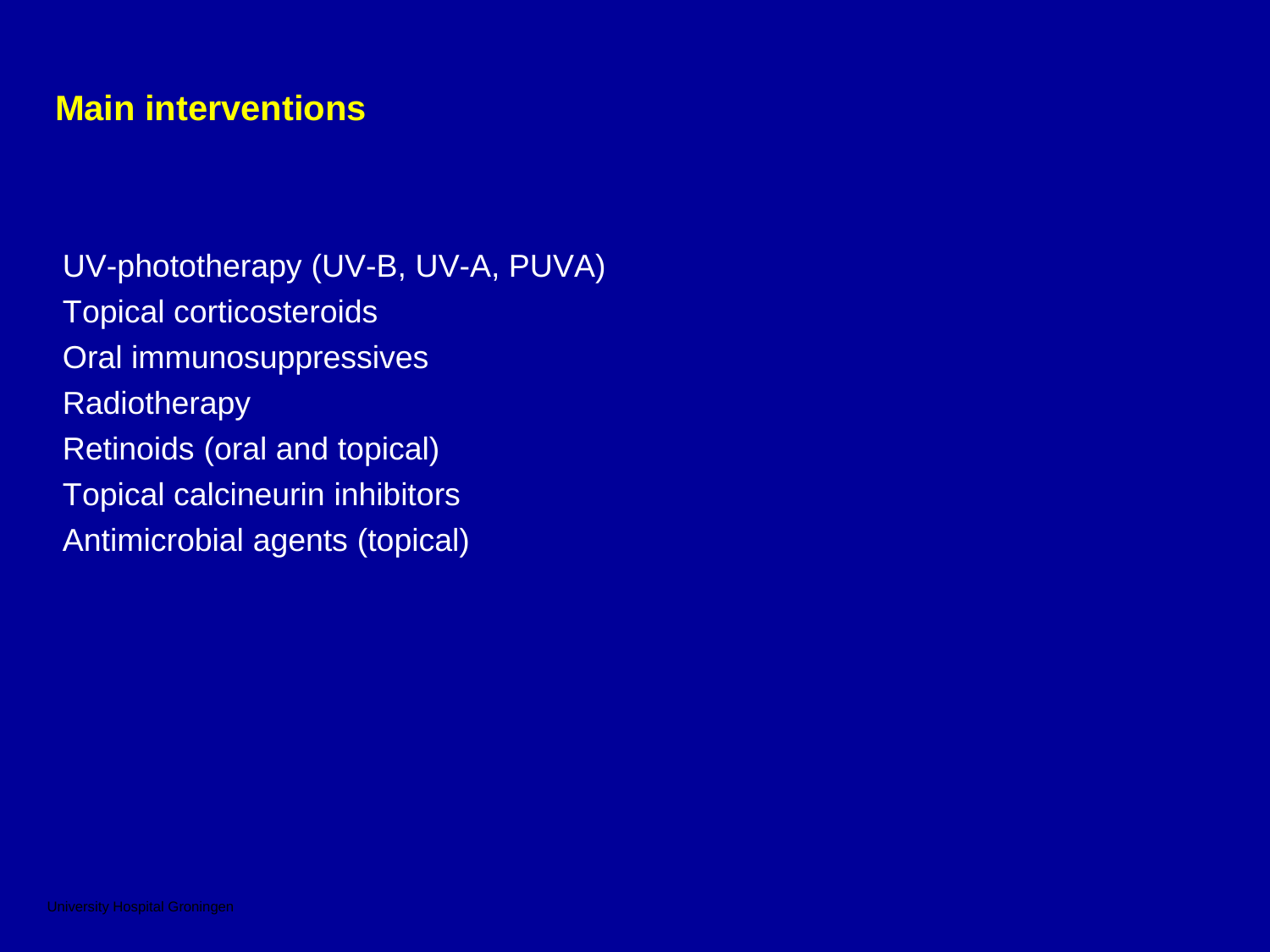## **Main interventions**

UV-phototherapy (UV-B, UV-A, PUVA) Topical corticosteroids Oral immunosuppressives **Radiotherapy** Retinoids (oral and topical) Topical calcineurin inhibitors Antimicrobial agents (topical)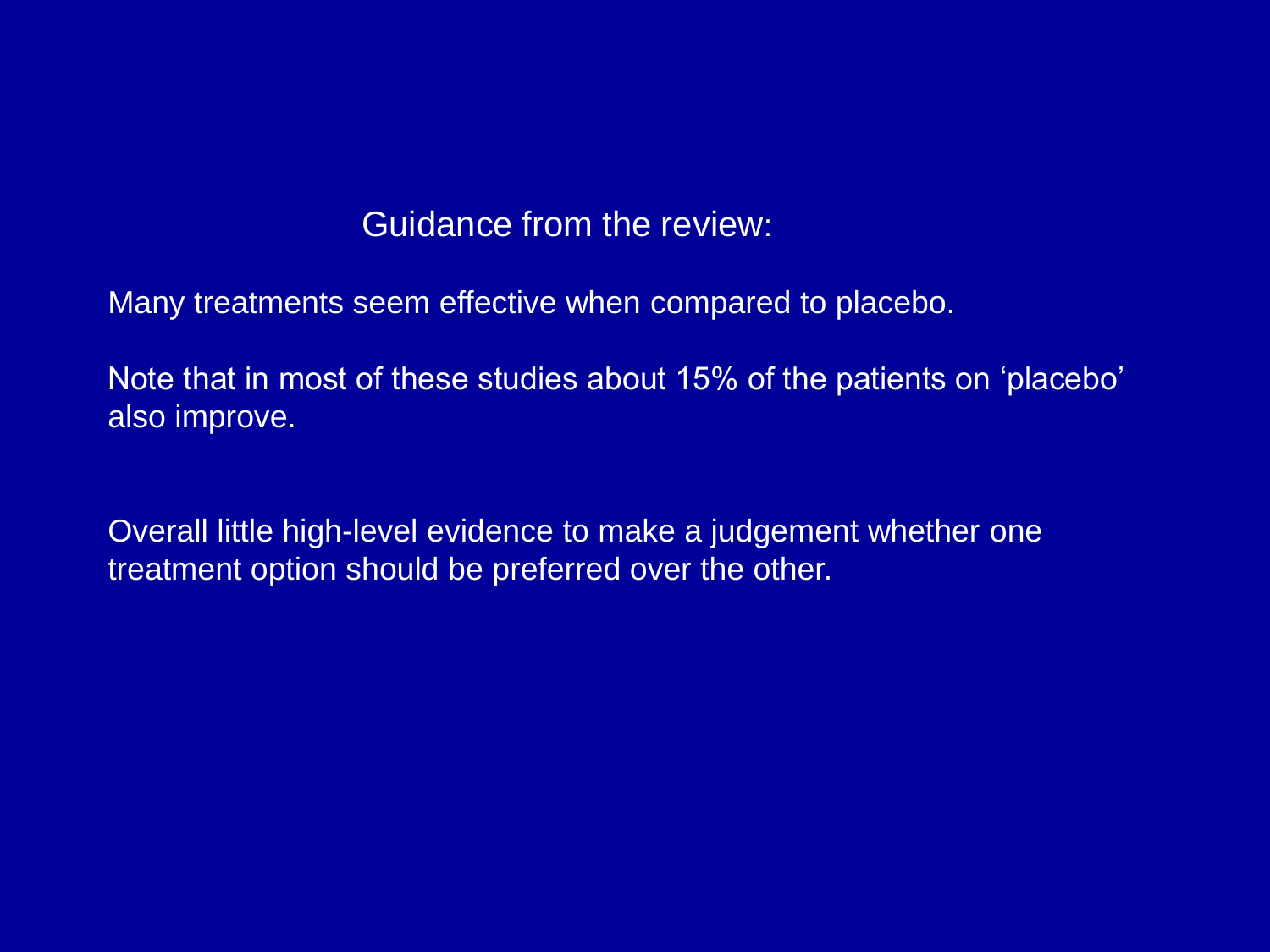### Guidance from the review:

Many treatments seem effective when compared to placebo.

Note that in most of these studies about 15% of the patients on 'placebo' also improve.

Overall little high-level evidence to make a judgement whether one treatment option should be preferred over the other.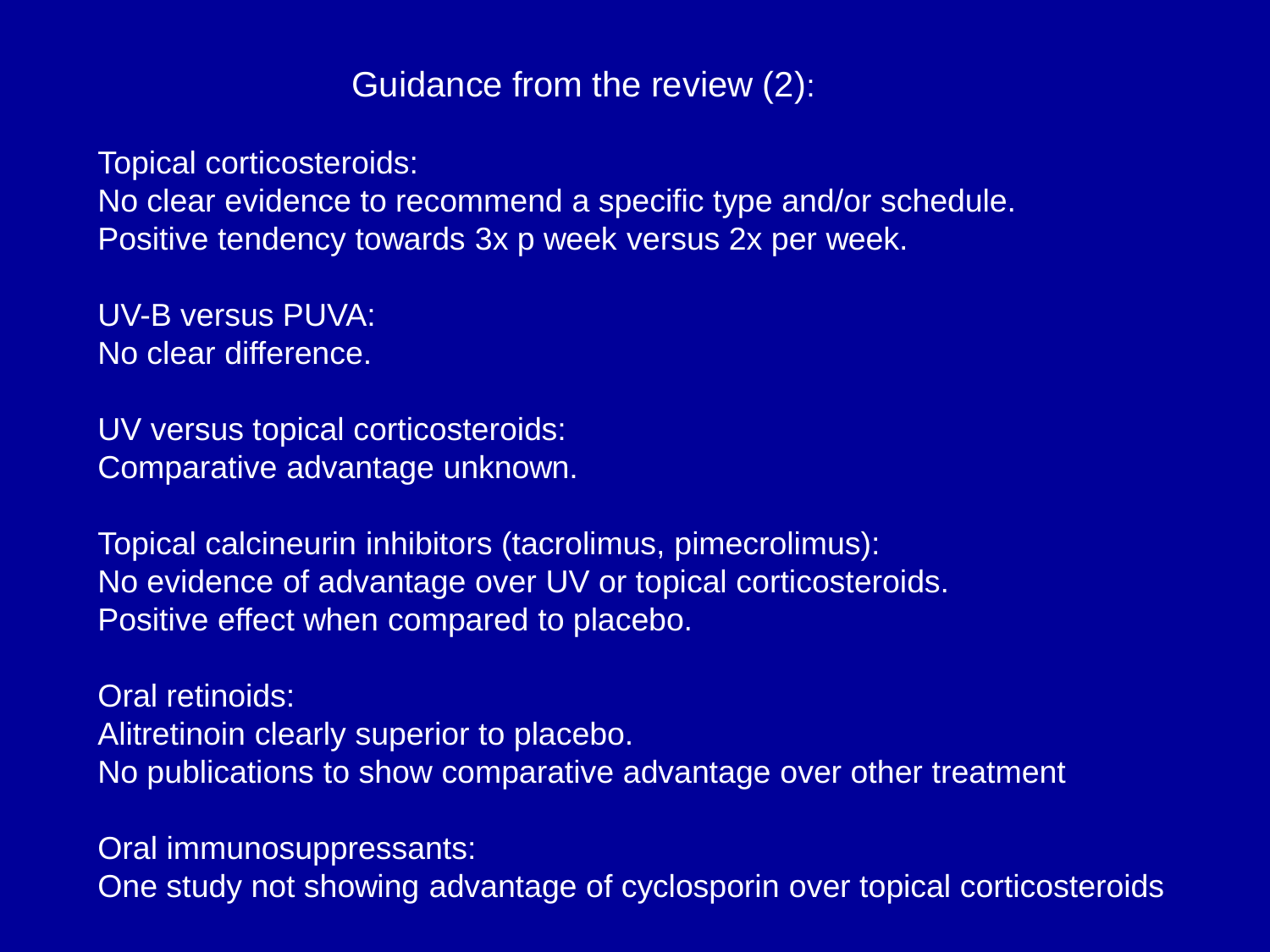## Guidance from the review (2):

Topical corticosteroids:

No clear evidence to recommend a specific type and/or schedule. Positive tendency towards 3x p week versus 2x per week.

UV-B versus PUVA: No clear difference.

UV versus topical corticosteroids: Comparative advantage unknown.

Topical calcineurin inhibitors (tacrolimus, pimecrolimus): No evidence of advantage over UV or topical corticosteroids. Positive effect when compared to placebo.

Oral retinoids: Alitretinoin clearly superior to placebo. No publications to show comparative advantage over other treatment

Oral immunosuppressants: One study not showing advantage of cyclosporin over topical corticosteroids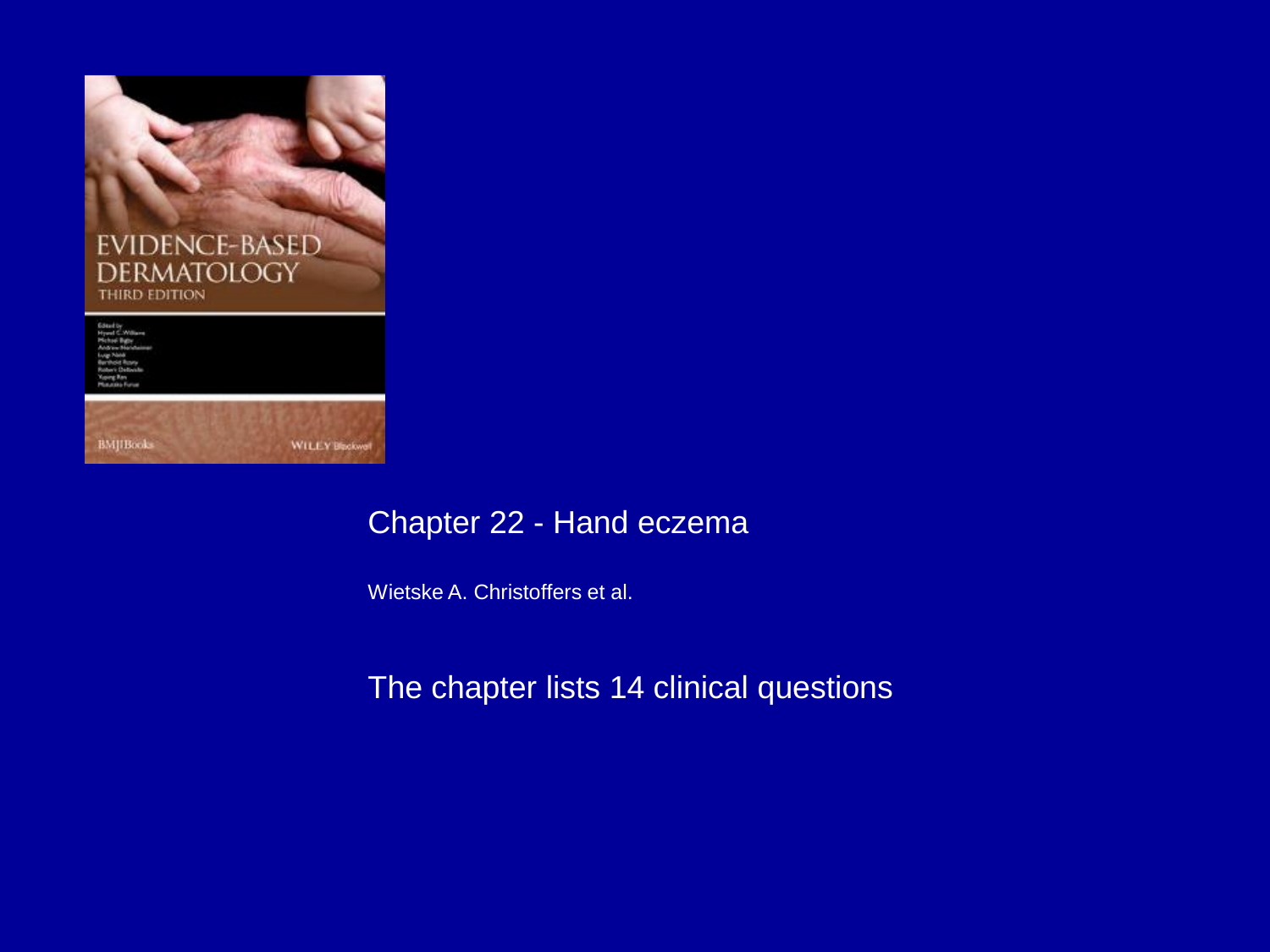

### Chapter 22 - Hand eczema

Wietske A. Christoffers et al.

#### The chapter lists 14 clinical questions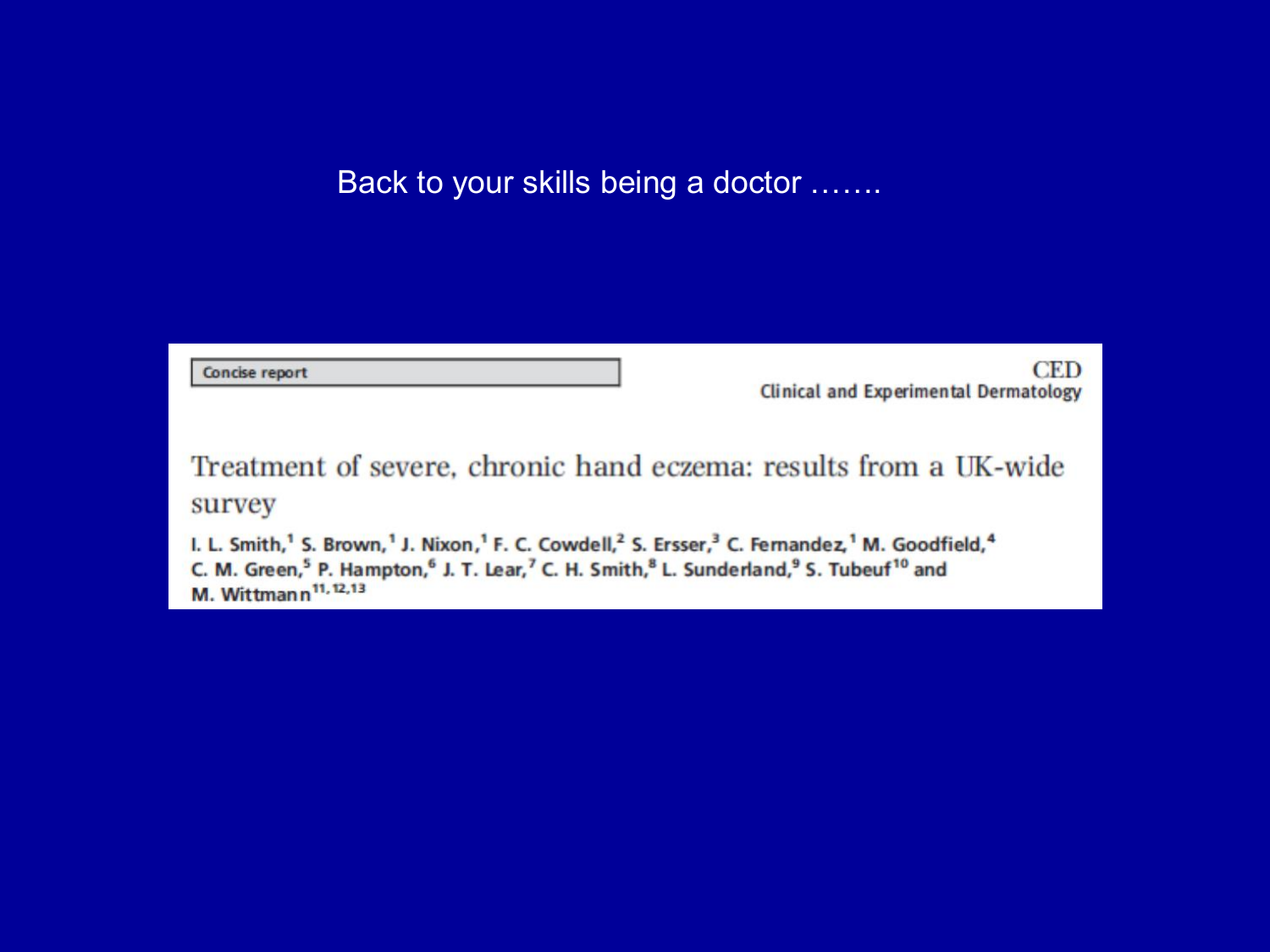Back to your skills being a doctor .......

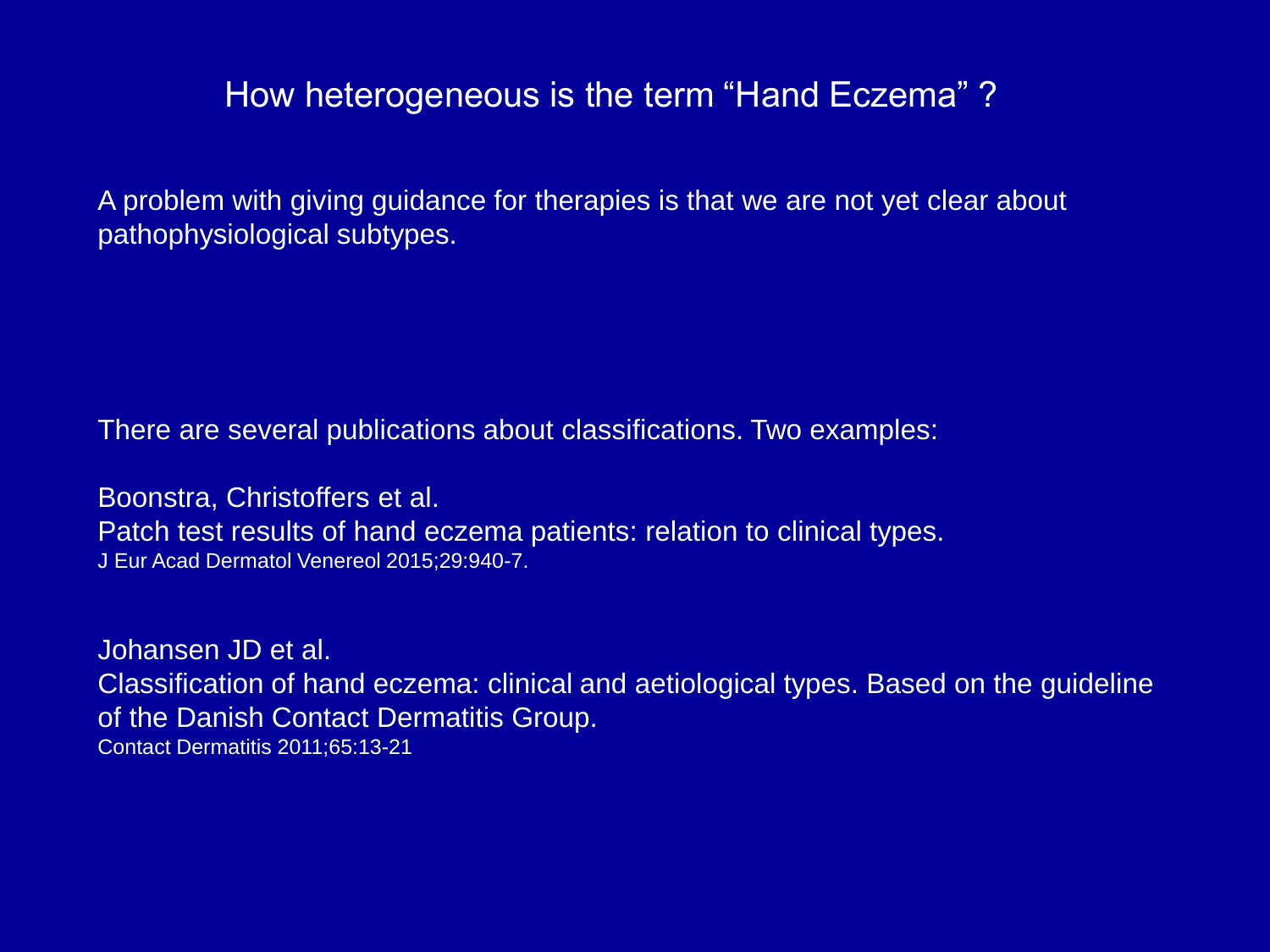## How heterogeneous is the term "Hand Eczema" ?

A problem with giving guidance for therapies is that we are not yet clear about pathophysiological subtypes.

There are several publications about classifications. Two examples:

Boonstra, Christoffers et al. Patch test results of hand eczema patients: relation to clinical types. J Eur Acad Dermatol Venereol 2015;29:940-7.

Johansen JD et al. Classification of hand eczema: clinical and aetiological types. Based on the guideline of the Danish Contact Dermatitis Group. Contact Dermatitis 2011;65:13-21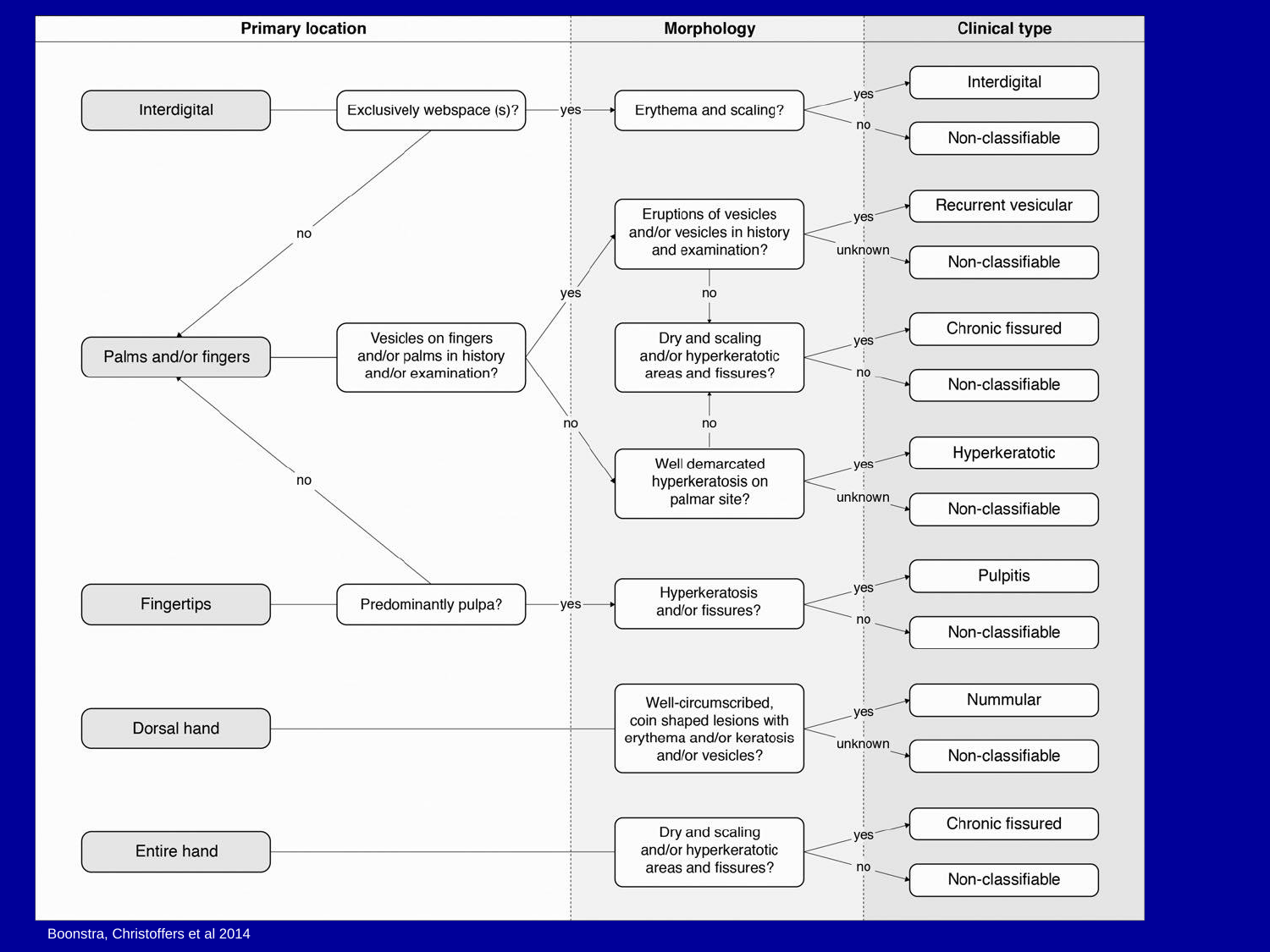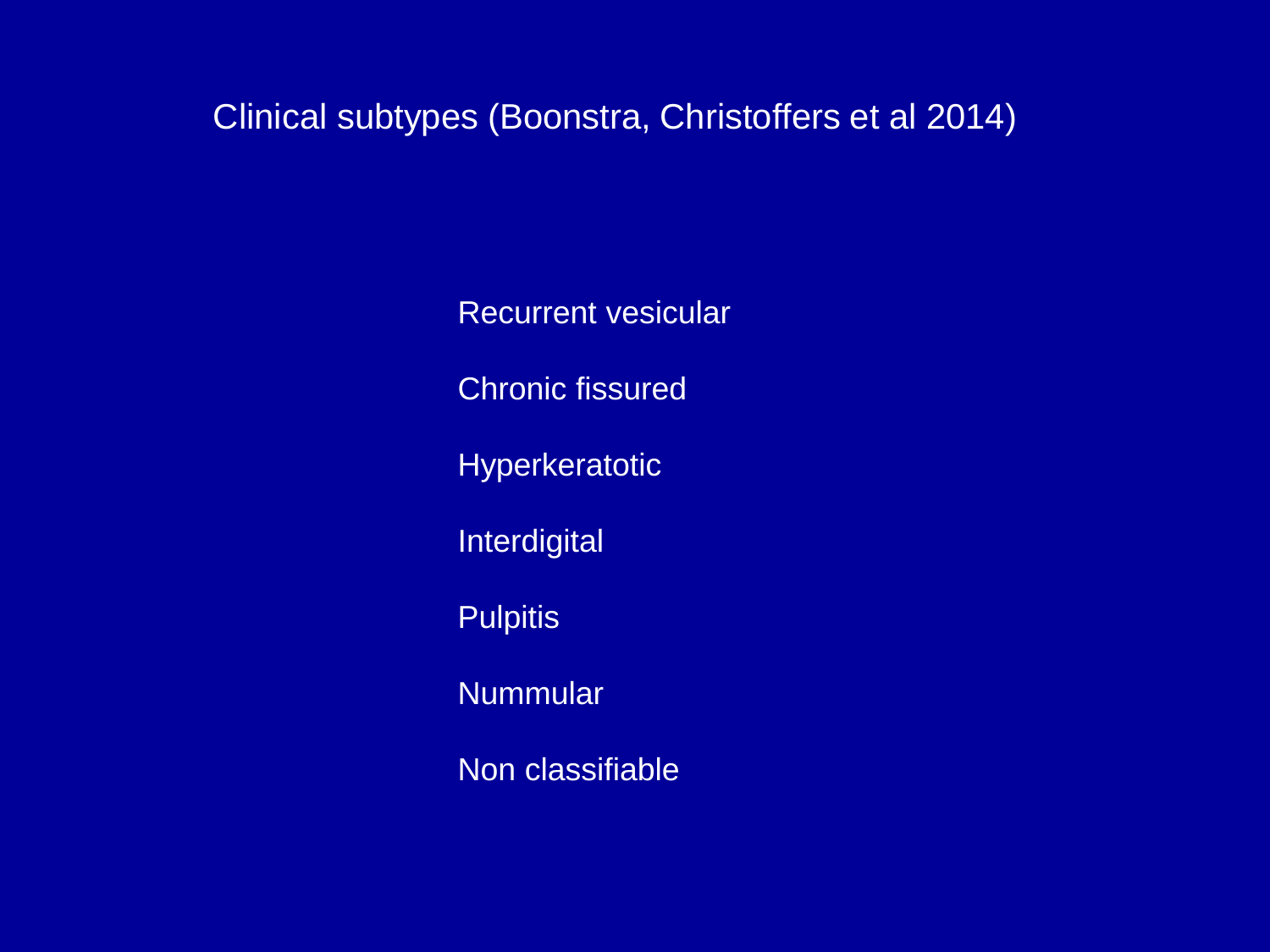Clinical subtypes (Boonstra, Christoffers et al 2014)

Recurrent vesicular Chronic fissured **Hyperkeratotic Interdigital Pulpitis Nummular** Non classifiable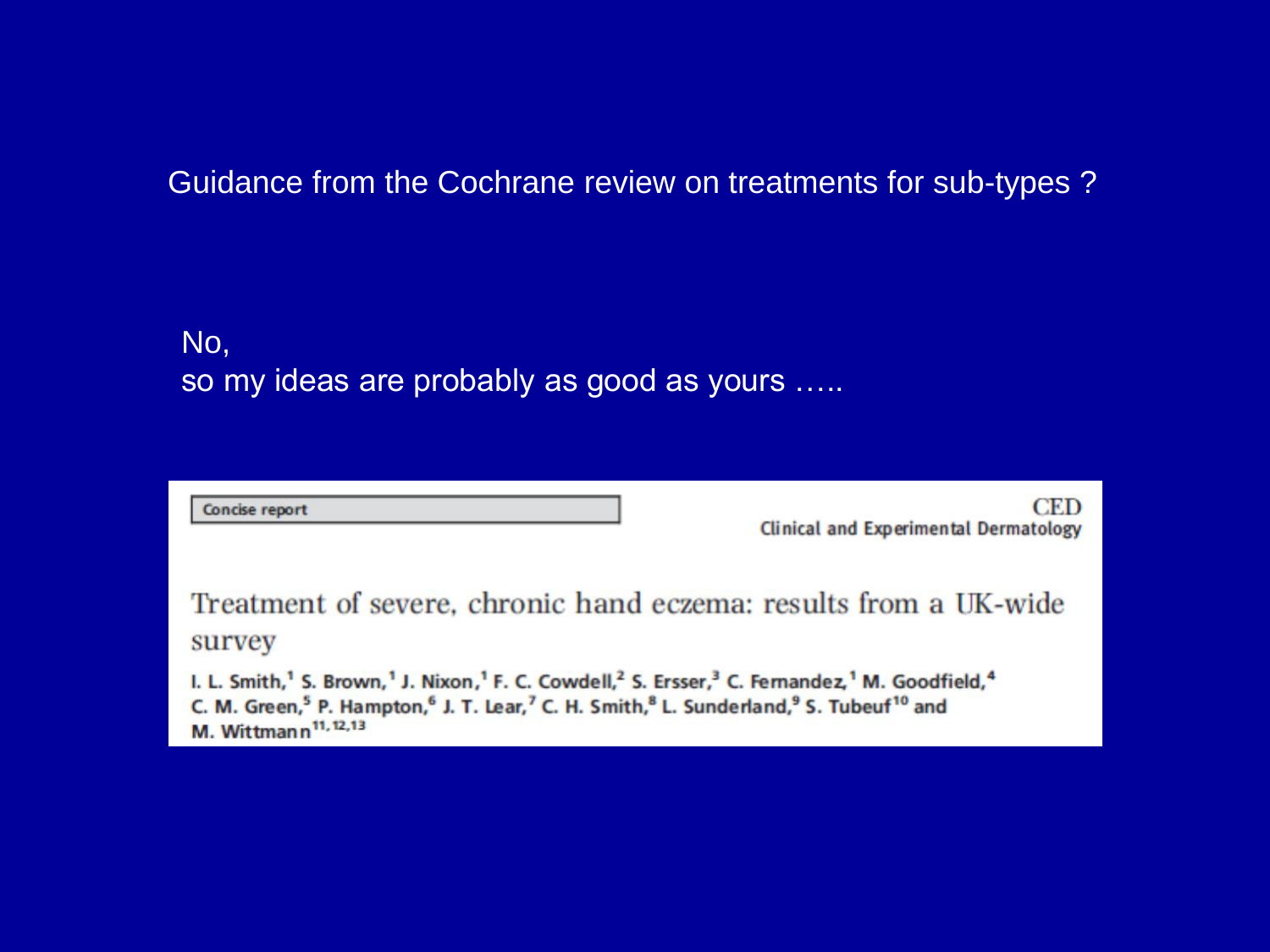### Guidance from the Cochrane review on treatments for sub-types ?

## No, so my ideas are probably as good as yours …..

| Concise report                                                                                                                                                                                                                                                                                                                                                                         | CED<br><b>Clinical and Experimental Dermatology</b> |
|----------------------------------------------------------------------------------------------------------------------------------------------------------------------------------------------------------------------------------------------------------------------------------------------------------------------------------------------------------------------------------------|-----------------------------------------------------|
| Treatment of severe, chronic hand eczema: results from a UK-wide<br>survey                                                                                                                                                                                                                                                                                                             |                                                     |
| I. L. Smith, <sup>1</sup> S. Brown, <sup>1</sup> J. Nixon, <sup>1</sup> F. C. Cowdell, <sup>2</sup> S. Ersser, <sup>3</sup> C. Fernandez, <sup>1</sup> M. Goodfield, <sup>4</sup><br>C. M. Green, <sup>5</sup> P. Hampton, <sup>6</sup> J. T. Lear, <sup>7</sup> C. H. Smith, <sup>8</sup> L. Sunderland, <sup>9</sup> S. Tubeuf <sup>10</sup> and<br>M. Wittmann <sup>11, 12,13</sup> |                                                     |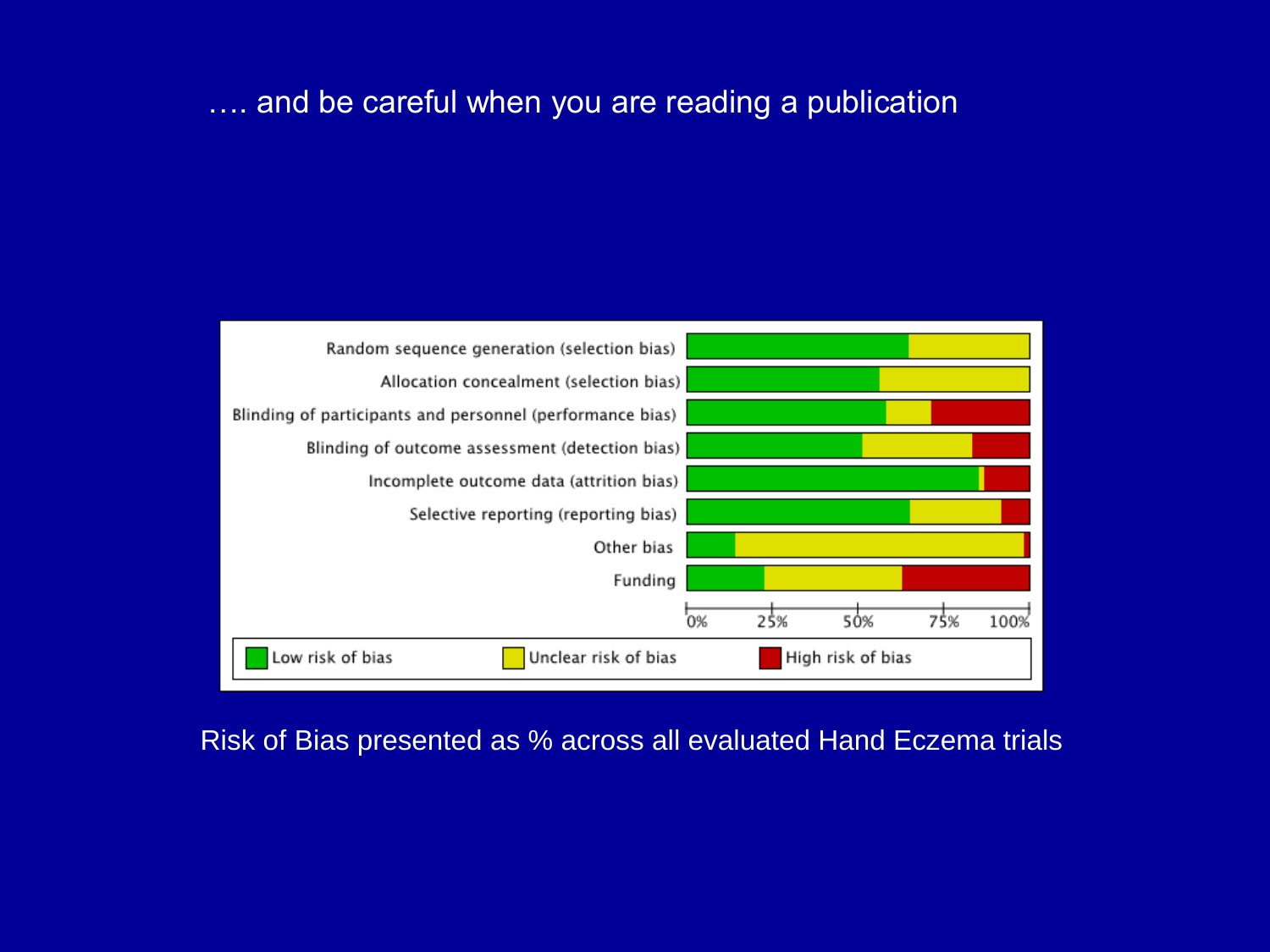#### .... and be careful when you are reading a publication



Risk of Bias presented as % across all evaluated Hand Eczema trials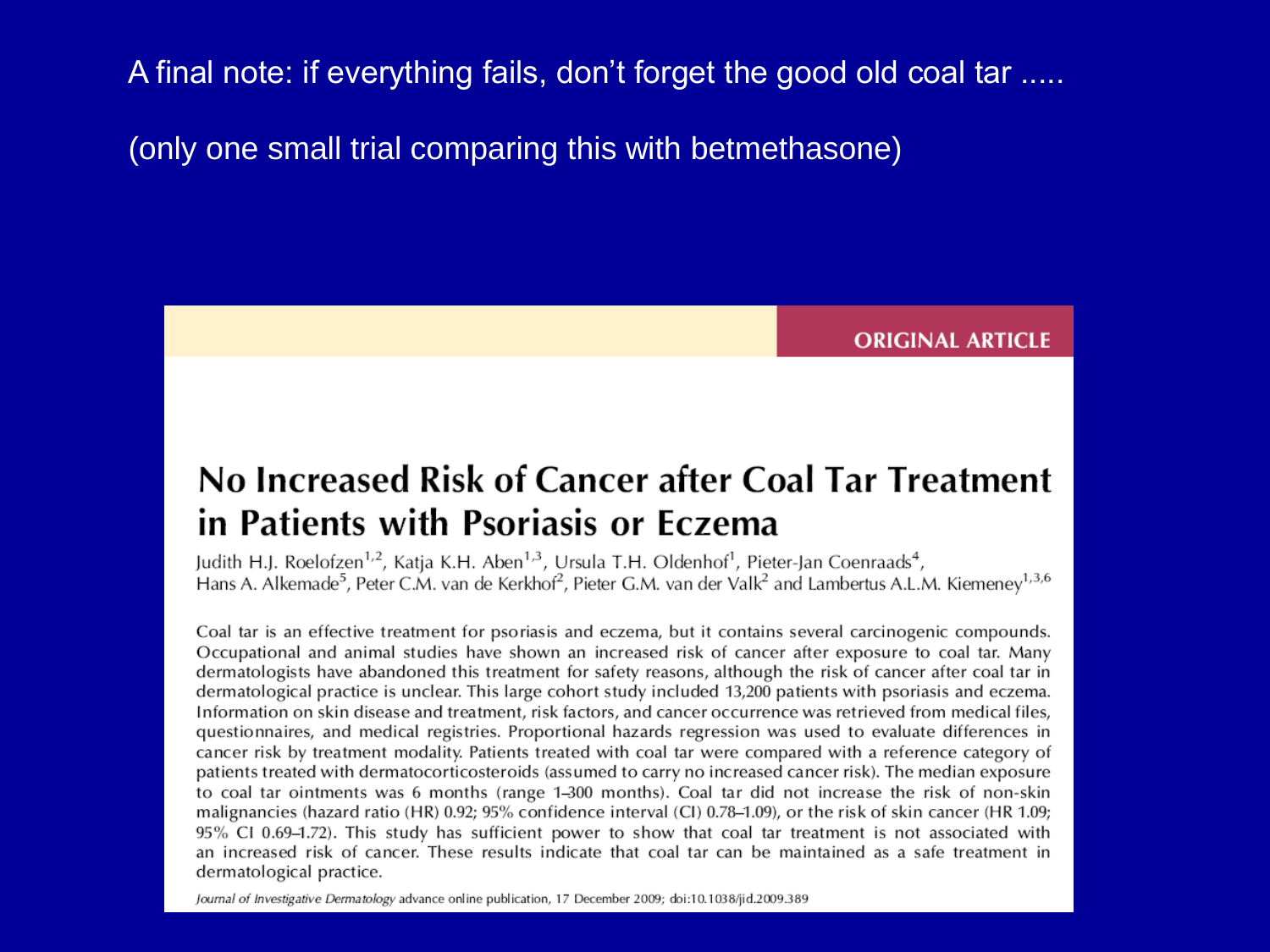A final note: if everything fails, don't forget the good old coal tar .....

(only one small trial comparing this with betmethasone)

**ORIGINAL ARTICLE** 

# No Increased Risk of Cancer after Coal Tar Treatment in Patients with Psoriasis or Eczema

Judith H.J. Roelofzen<sup>1,2</sup>, Katja K.H. Aben<sup>1,3</sup>, Ursula T.H. Oldenhof<sup>1</sup>, Pieter-Jan Coenraads<sup>4</sup>, Hans A. Alkemade<sup>5</sup>, Peter C.M. van de Kerkhof<sup>2</sup>, Pieter G.M. van der Valk<sup>2</sup> and Lambertus A.L.M. Kiemeney<sup>1,3,6</sup>

Coal tar is an effective treatment for psoriasis and eczema, but it contains several carcinogenic compounds. Occupational and animal studies have shown an increased risk of cancer after exposure to coal tar. Many dermatologists have abandoned this treatment for safety reasons, although the risk of cancer after coal tar in dermatological practice is unclear. This large cohort study included 13,200 patients with psoriasis and eczema. Information on skin disease and treatment, risk factors, and cancer occurrence was retrieved from medical files, questionnaires, and medical registries. Proportional hazards regression was used to evaluate differences in cancer risk by treatment modality. Patients treated with coal tar were compared with a reference category of patients treated with dermatocorticosteroids (assumed to carry no increased cancer risk). The median exposure to coal tar ointments was 6 months (range 1–300 months). Coal tar did not increase the risk of non-skin malignancies (hazard ratio (HR) 0.92; 95% confidence interval (CI) 0.78–1.09), or the risk of skin cancer (HR 1.09; 95% CI 0.69-1.72). This study has sufficient power to show that coal tar treatment is not associated with an increased risk of cancer. These results indicate that coal tar can be maintained as a safe treatment in dermatological practice.

Journal of Investigative Dermatology advance online publication, 17 December 2009; doi:10.1038/jid.2009.389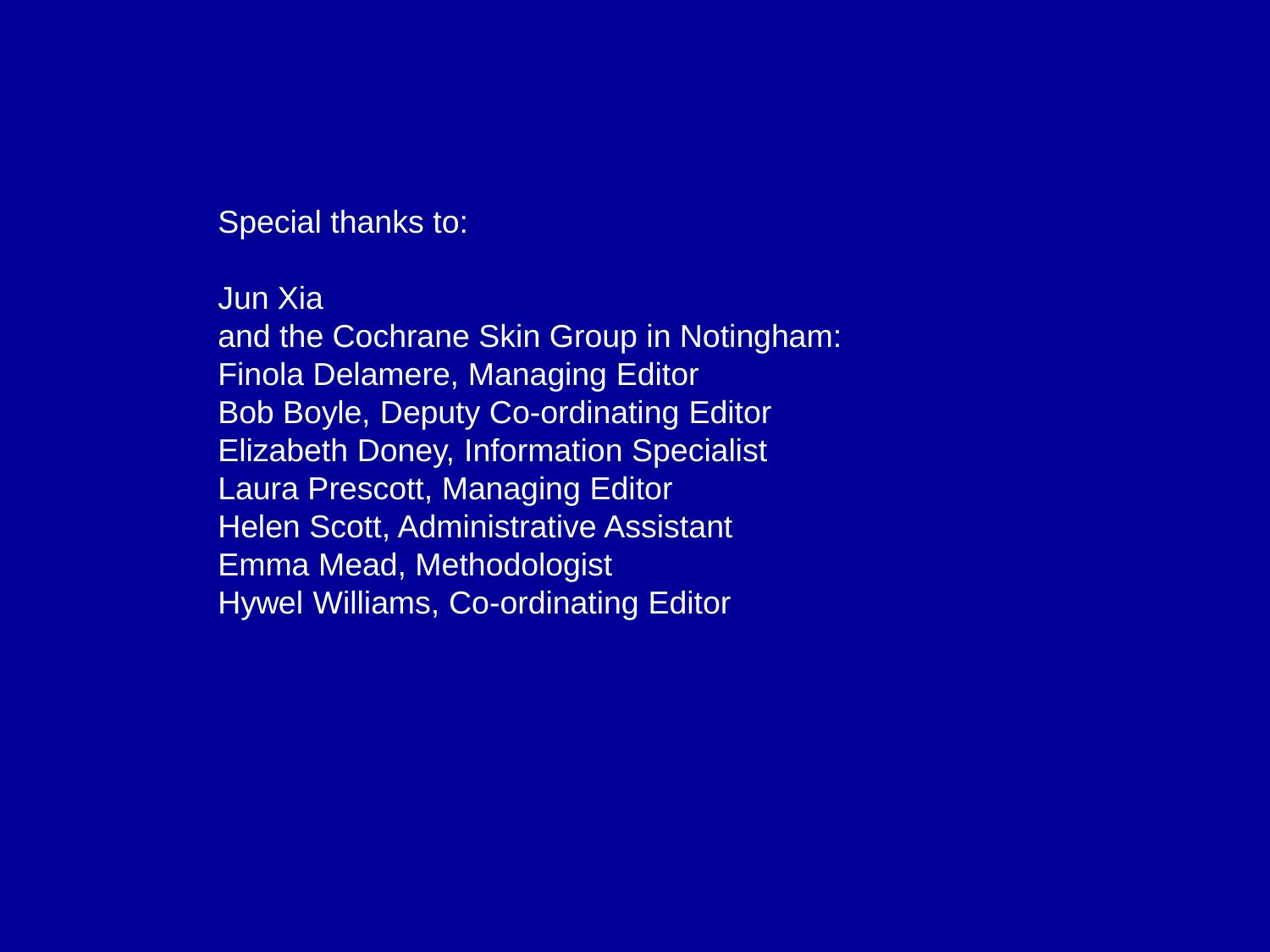Special thanks to:

Jun Xia and the Cochrane Skin Group in Notingham: Finola Delamere, Managing Editor Bob Boyle, Deputy Co-ordinating Editor Elizabeth Doney, Information Specialist Laura Prescott, Managing Editor Helen Scott, Administrative Assistant Emma Mead, Methodologist Hywel Williams, Co-ordinating Editor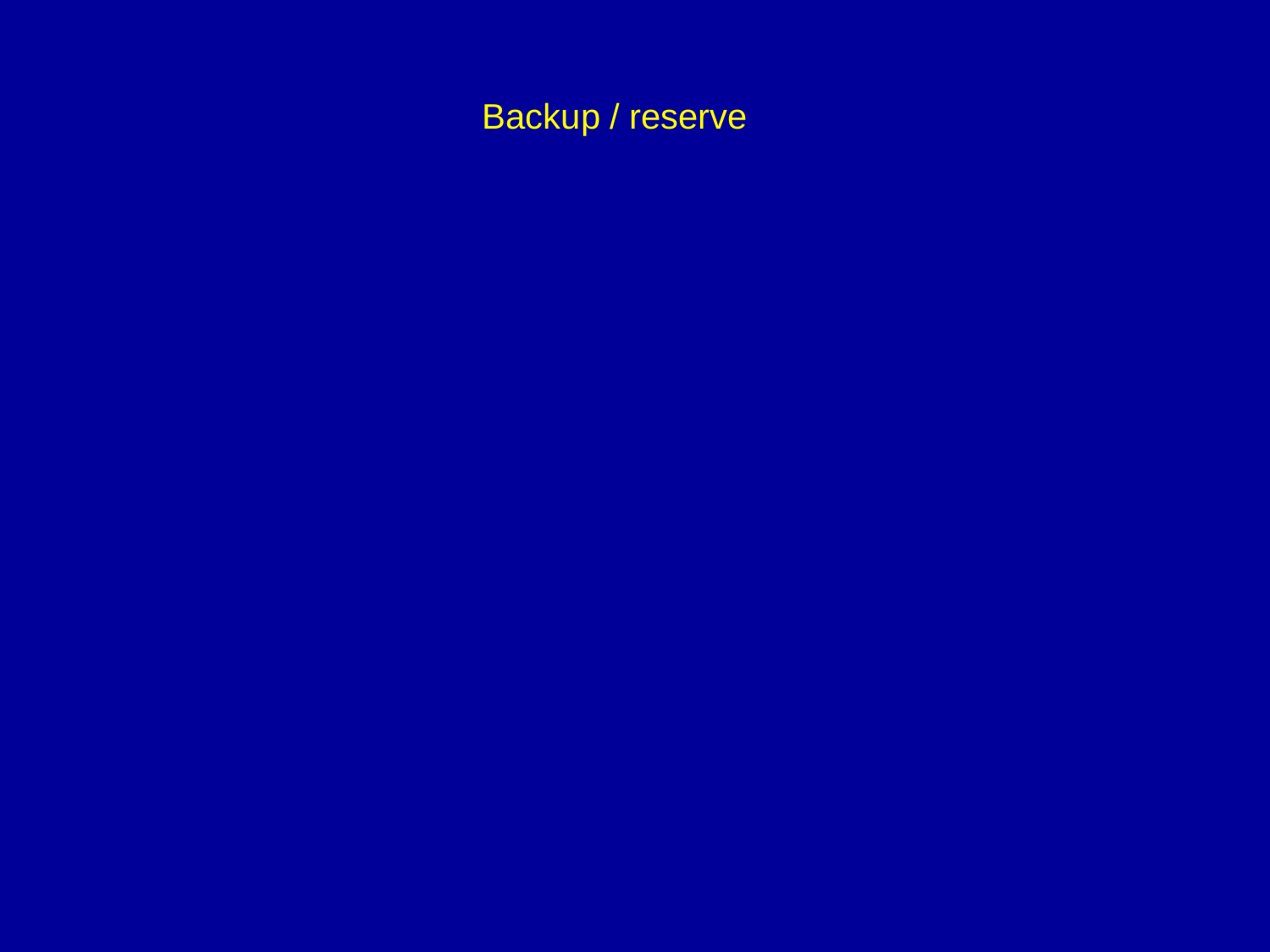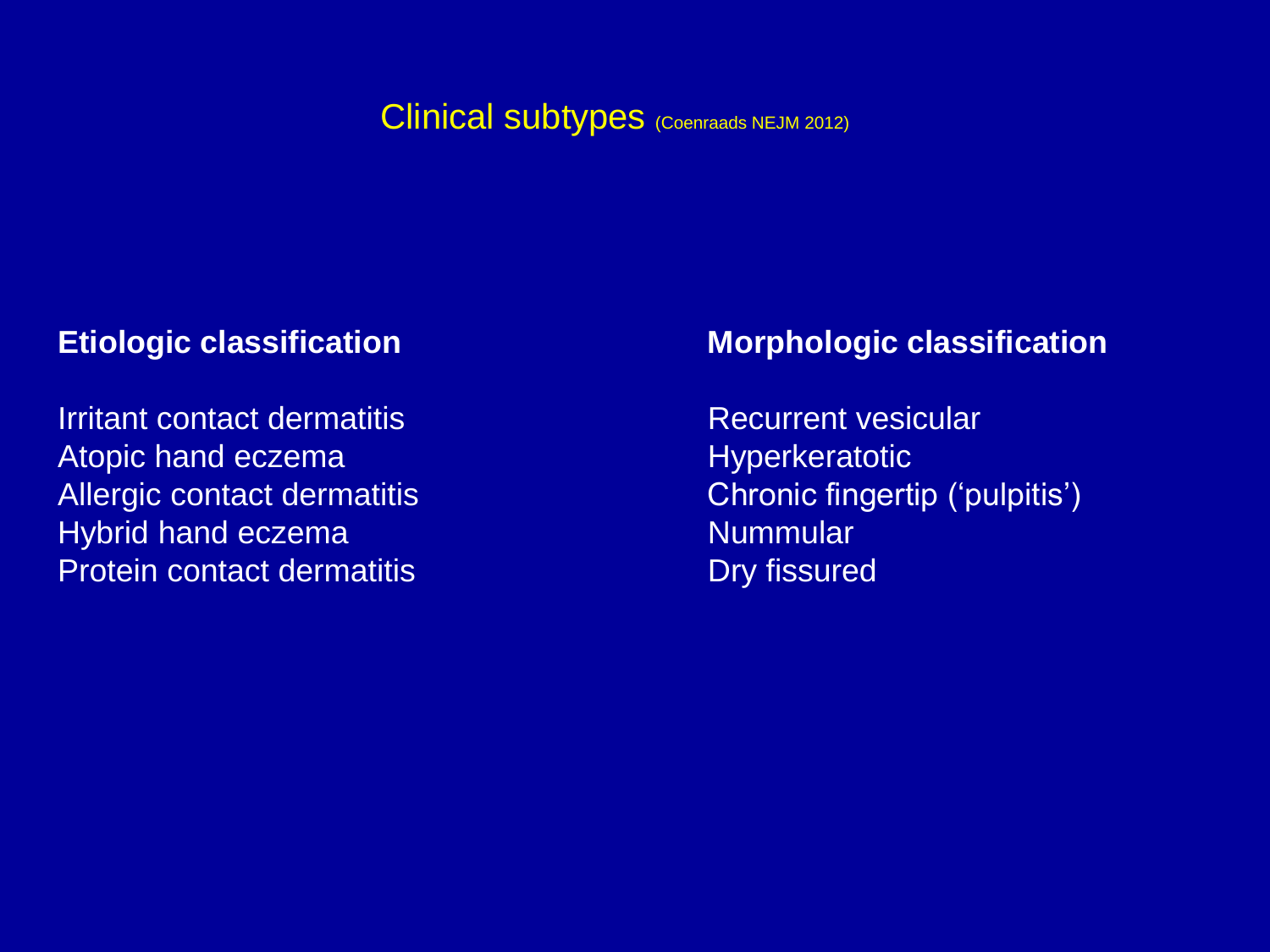#### Clinical subtypes (Coenraads NEJM 2012)

#### **Etiologic classification**

Irritant contact dermatitis Atopic hand eczema Allergic contact dermatitis Hybrid hand eczema Protein contact dermatitis

#### **Morphologic classification**

Recurrent vesicular **Hyperkeratotic** Chronic fingertip ('pulpitis') Nummular Dry fissured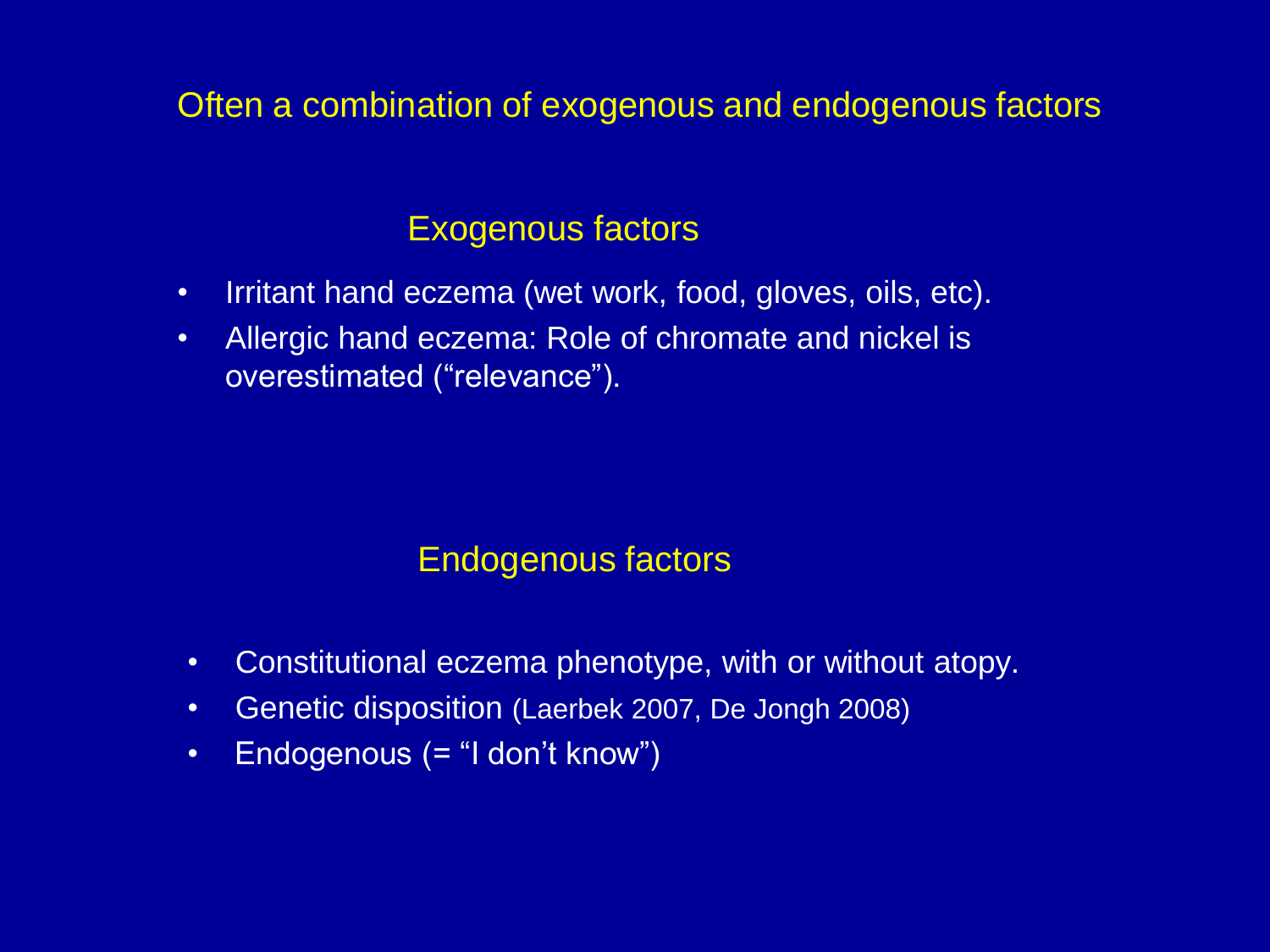## Often a combination of exogenous and endogenous factors

## Exogenous factors

- Irritant hand eczema (wet work, food, gloves, oils, etc).
- Allergic hand eczema: Role of chromate and nickel is overestimated ("relevance").

## Endogenous factors

- Constitutional eczema phenotype, with or without atopy.
- Genetic disposition (Laerbek 2007, De Jongh 2008)
- Endogenous (= "I don't know")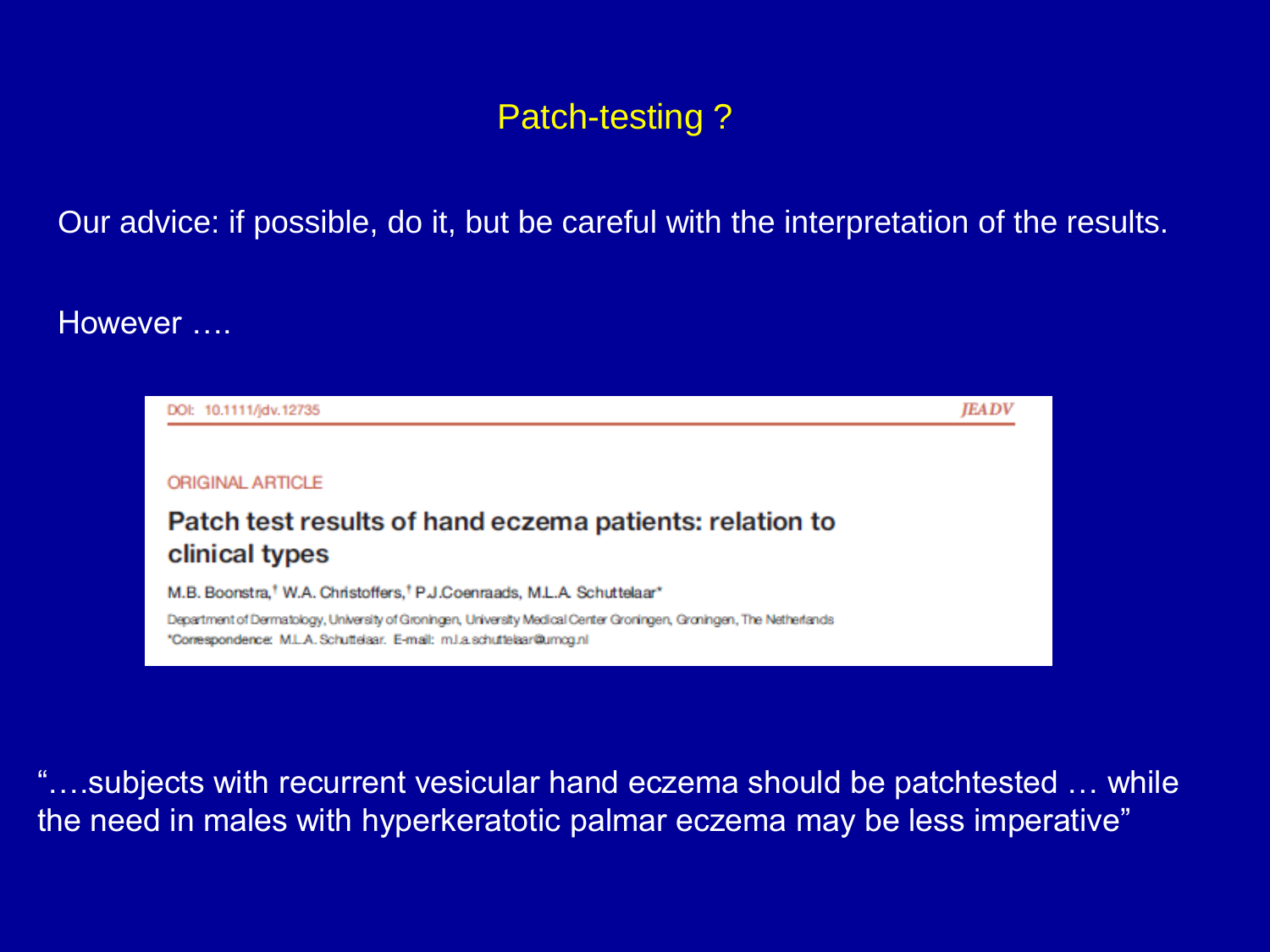# Patch-testing ?

Our advice: if possible, do it, but be careful with the interpretation of the results.

However ....



"….subjects with recurrent vesicular hand eczema should be patchtested … while the need in males with hyperkeratotic palmar eczema may be less imperative"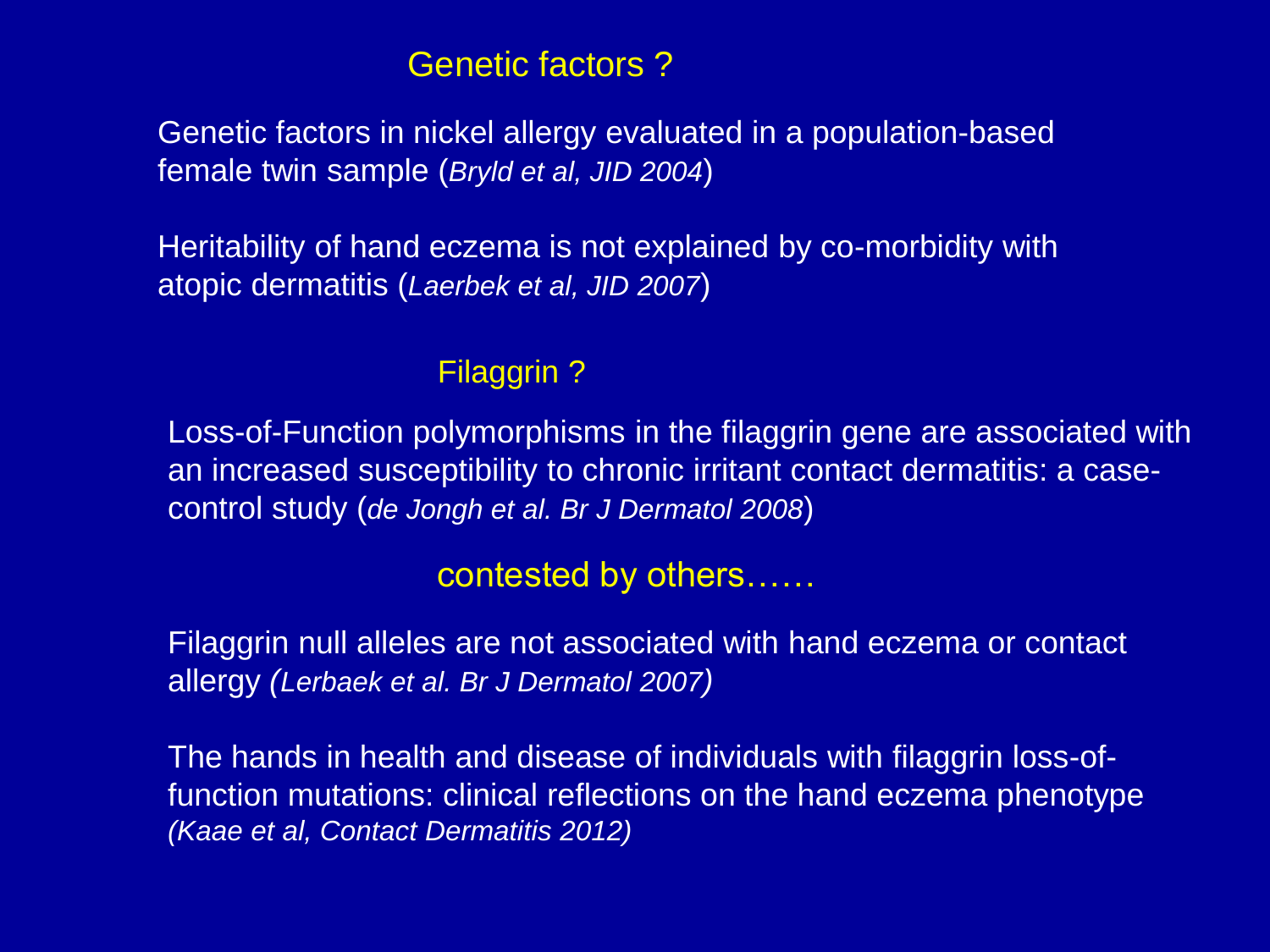#### Genetic factors ?

Genetic factors in nickel allergy evaluated in a population-based female twin sample (*Bryld et al, JID 2004*)

Heritability of hand eczema is not explained by co-morbidity with atopic dermatitis (*Laerbek et al, JID 2007*)

#### Filaggrin ?

Loss-of-Function polymorphisms in the filaggrin gene are associated with an increased susceptibility to chronic irritant contact dermatitis: a casecontrol study (*de Jongh et al. Br J Dermatol 2008*)

## contested by others……

Filaggrin null alleles are not associated with hand eczema or contact allergy *(Lerbaek et al. Br J Dermatol 2007)*

The hands in health and disease of individuals with filaggrin loss-offunction mutations: clinical reflections on the hand eczema phenotype *(Kaae et al, Contact Dermatitis 2012)*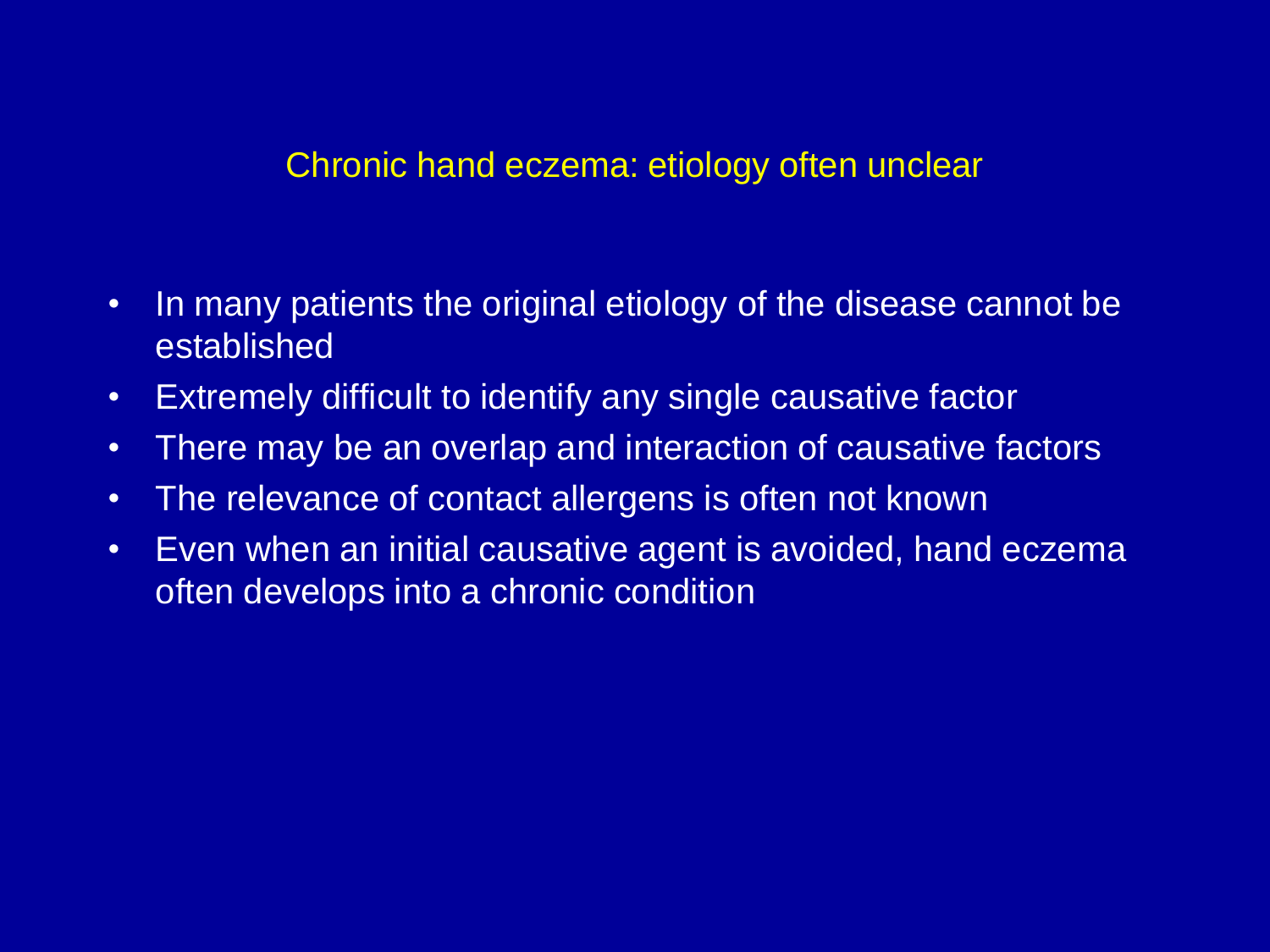## Chronic hand eczema: etiology often unclear

- In many patients the original etiology of the disease cannot be established
- Extremely difficult to identify any single causative factor
- There may be an overlap and interaction of causative factors
- The relevance of contact allergens is often not known
- Even when an initial causative agent is avoided, hand eczema often develops into a chronic condition